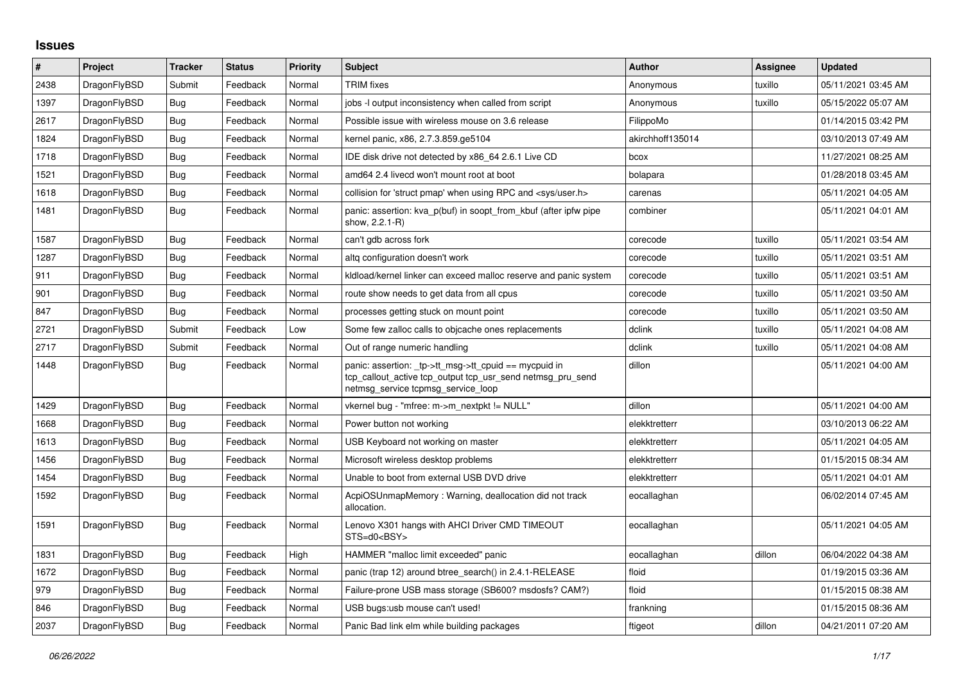## **Issues**

| #    | Project      | <b>Tracker</b> | <b>Status</b> | Priority | <b>Subject</b>                                                                                                                                            | <b>Author</b>    | Assignee | <b>Updated</b>      |
|------|--------------|----------------|---------------|----------|-----------------------------------------------------------------------------------------------------------------------------------------------------------|------------------|----------|---------------------|
| 2438 | DragonFlyBSD | Submit         | Feedback      | Normal   | <b>TRIM</b> fixes                                                                                                                                         | Anonymous        | tuxillo  | 05/11/2021 03:45 AM |
| 1397 | DragonFlyBSD | <b>Bug</b>     | Feedback      | Normal   | jobs -I output inconsistency when called from script                                                                                                      | Anonymous        | tuxillo  | 05/15/2022 05:07 AM |
| 2617 | DragonFlyBSD | Bug            | Feedback      | Normal   | Possible issue with wireless mouse on 3.6 release                                                                                                         | FilippoMo        |          | 01/14/2015 03:42 PM |
| 1824 | DragonFlyBSD | <b>Bug</b>     | Feedback      | Normal   | kernel panic, x86, 2.7.3.859.ge5104                                                                                                                       | akirchhoff135014 |          | 03/10/2013 07:49 AM |
| 1718 | DragonFlyBSD | <b>Bug</b>     | Feedback      | Normal   | IDE disk drive not detected by x86 64 2.6.1 Live CD                                                                                                       | bcox             |          | 11/27/2021 08:25 AM |
| 1521 | DragonFlyBSD | <b>Bug</b>     | Feedback      | Normal   | amd64 2.4 livecd won't mount root at boot                                                                                                                 | bolapara         |          | 01/28/2018 03:45 AM |
| 1618 | DragonFlyBSD | <b>Bug</b>     | Feedback      | Normal   | collision for 'struct pmap' when using RPC and <sys user.h=""></sys>                                                                                      | carenas          |          | 05/11/2021 04:05 AM |
| 1481 | DragonFlyBSD | <b>Bug</b>     | Feedback      | Normal   | panic: assertion: kva_p(buf) in soopt_from_kbuf (after ipfw pipe<br>show, 2.2.1-R)                                                                        | combiner         |          | 05/11/2021 04:01 AM |
| 1587 | DragonFlyBSD | Bug            | Feedback      | Normal   | can't gdb across fork                                                                                                                                     | corecode         | tuxillo  | 05/11/2021 03:54 AM |
| 1287 | DragonFlyBSD | Bug            | Feedback      | Normal   | altq configuration doesn't work                                                                                                                           | corecode         | tuxillo  | 05/11/2021 03:51 AM |
| 911  | DragonFlyBSD | <b>Bug</b>     | Feedback      | Normal   | kidload/kernel linker can exceed malloc reserve and panic system                                                                                          | corecode         | tuxillo  | 05/11/2021 03:51 AM |
| 901  | DragonFlyBSD | Bug            | Feedback      | Normal   | route show needs to get data from all cpus                                                                                                                | corecode         | tuxillo  | 05/11/2021 03:50 AM |
| 847  | DragonFlyBSD | Bug            | Feedback      | Normal   | processes getting stuck on mount point                                                                                                                    | corecode         | tuxillo  | 05/11/2021 03:50 AM |
| 2721 | DragonFlyBSD | Submit         | Feedback      | Low      | Some few zalloc calls to objcache ones replacements                                                                                                       | dclink           | tuxillo  | 05/11/2021 04:08 AM |
| 2717 | DragonFlyBSD | Submit         | Feedback      | Normal   | Out of range numeric handling                                                                                                                             | dclink           | tuxillo  | 05/11/2021 04:08 AM |
| 1448 | DragonFlyBSD | Bug            | Feedback      | Normal   | panic: assertion: _tp->tt_msg->tt_cpuid == mycpuid in<br>tcp_callout_active tcp_output tcp_usr_send netmsg_pru_send<br>netmsg_service tcpmsg_service_loop | dillon           |          | 05/11/2021 04:00 AM |
| 1429 | DragonFlyBSD | <b>Bug</b>     | Feedback      | Normal   | vkernel bug - "mfree: m->m_nextpkt != NULL"                                                                                                               | dillon           |          | 05/11/2021 04:00 AM |
| 1668 | DragonFlyBSD | Bug            | Feedback      | Normal   | Power button not working                                                                                                                                  | elekktretterr    |          | 03/10/2013 06:22 AM |
| 1613 | DragonFlyBSD | <b>Bug</b>     | Feedback      | Normal   | USB Keyboard not working on master                                                                                                                        | elekktretterr    |          | 05/11/2021 04:05 AM |
| 1456 | DragonFlyBSD | Bug            | Feedback      | Normal   | Microsoft wireless desktop problems                                                                                                                       | elekktretterr    |          | 01/15/2015 08:34 AM |
| 1454 | DragonFlyBSD | <b>Bug</b>     | Feedback      | Normal   | Unable to boot from external USB DVD drive                                                                                                                | elekktretterr    |          | 05/11/2021 04:01 AM |
| 1592 | DragonFlyBSD | Bug            | Feedback      | Normal   | AcpiOSUnmapMemory: Warning, deallocation did not track<br>allocation.                                                                                     | eocallaghan      |          | 06/02/2014 07:45 AM |
| 1591 | DragonFlyBSD | <b>Bug</b>     | Feedback      | Normal   | Lenovo X301 hangs with AHCI Driver CMD TIMEOUT<br>STS=d0 <bsy></bsy>                                                                                      | eocallaghan      |          | 05/11/2021 04:05 AM |
| 1831 | DragonFlyBSD | <b>Bug</b>     | Feedback      | High     | HAMMER "malloc limit exceeded" panic                                                                                                                      | eocallaghan      | dillon   | 06/04/2022 04:38 AM |
| 1672 | DragonFlyBSD | Bug            | Feedback      | Normal   | panic (trap 12) around btree search() in 2.4.1-RELEASE                                                                                                    | floid            |          | 01/19/2015 03:36 AM |
| 979  | DragonFlyBSD | Bug            | Feedback      | Normal   | Failure-prone USB mass storage (SB600? msdosfs? CAM?)                                                                                                     | floid            |          | 01/15/2015 08:38 AM |
| 846  | DragonFlyBSD | Bug            | Feedback      | Normal   | USB bugs:usb mouse can't used!                                                                                                                            | frankning        |          | 01/15/2015 08:36 AM |
| 2037 | DragonFlyBSD | <b>Bug</b>     | Feedback      | Normal   | Panic Bad link elm while building packages                                                                                                                | ftigeot          | dillon   | 04/21/2011 07:20 AM |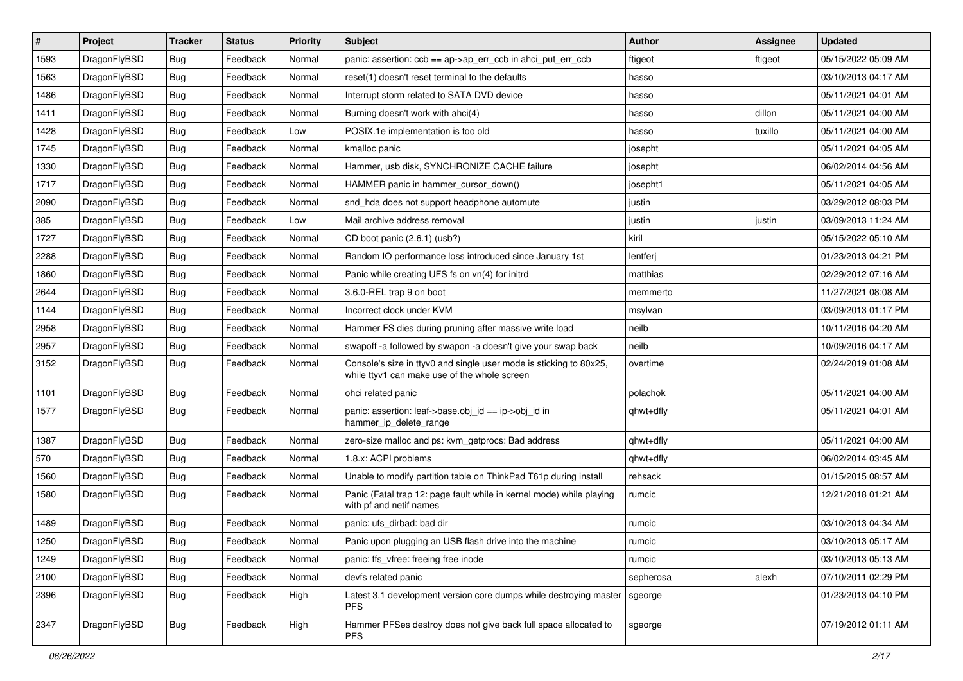| $\vert$ # | Project      | <b>Tracker</b> | <b>Status</b> | <b>Priority</b> | <b>Subject</b>                                                                                                     | Author    | <b>Assignee</b> | <b>Updated</b>      |
|-----------|--------------|----------------|---------------|-----------------|--------------------------------------------------------------------------------------------------------------------|-----------|-----------------|---------------------|
| 1593      | DragonFlyBSD | <b>Bug</b>     | Feedback      | Normal          | panic: assertion: $ccb == ap \rightarrow ap\_err\_ccb$ in ahci_put_err_ccb                                         | ftigeot   | ftigeot         | 05/15/2022 05:09 AM |
| 1563      | DragonFlyBSD | <b>Bug</b>     | Feedback      | Normal          | reset(1) doesn't reset terminal to the defaults                                                                    | hasso     |                 | 03/10/2013 04:17 AM |
| 1486      | DragonFlyBSD | <b>Bug</b>     | Feedback      | Normal          | Interrupt storm related to SATA DVD device                                                                         | hasso     |                 | 05/11/2021 04:01 AM |
| 1411      | DragonFlyBSD | <b>Bug</b>     | Feedback      | Normal          | Burning doesn't work with ahci(4)                                                                                  | hasso     | dillon          | 05/11/2021 04:00 AM |
| 1428      | DragonFlyBSD | <b>Bug</b>     | Feedback      | Low             | POSIX.1e implementation is too old                                                                                 | hasso     | tuxillo         | 05/11/2021 04:00 AM |
| 1745      | DragonFlyBSD | <b>Bug</b>     | Feedback      | Normal          | kmalloc panic                                                                                                      | josepht   |                 | 05/11/2021 04:05 AM |
| 1330      | DragonFlyBSD | Bug            | Feedback      | Normal          | Hammer, usb disk, SYNCHRONIZE CACHE failure                                                                        | josepht   |                 | 06/02/2014 04:56 AM |
| 1717      | DragonFlyBSD | <b>Bug</b>     | Feedback      | Normal          | HAMMER panic in hammer cursor down()                                                                               | josepht1  |                 | 05/11/2021 04:05 AM |
| 2090      | DragonFlyBSD | <b>Bug</b>     | Feedback      | Normal          | snd_hda does not support headphone automute                                                                        | justin    |                 | 03/29/2012 08:03 PM |
| 385       | DragonFlyBSD | <b>Bug</b>     | Feedback      | Low             | Mail archive address removal                                                                                       | justin    | justin          | 03/09/2013 11:24 AM |
| 1727      | DragonFlyBSD | Bug            | Feedback      | Normal          | CD boot panic (2.6.1) (usb?)                                                                                       | kiril     |                 | 05/15/2022 05:10 AM |
| 2288      | DragonFlyBSD | Bug            | Feedback      | Normal          | Random IO performance loss introduced since January 1st                                                            | lentferj  |                 | 01/23/2013 04:21 PM |
| 1860      | DragonFlyBSD | Bug            | Feedback      | Normal          | Panic while creating UFS fs on vn(4) for initrd                                                                    | matthias  |                 | 02/29/2012 07:16 AM |
| 2644      | DragonFlyBSD | Bug            | Feedback      | Normal          | 3.6.0-REL trap 9 on boot                                                                                           | memmerto  |                 | 11/27/2021 08:08 AM |
| 1144      | DragonFlyBSD | <b>Bug</b>     | Feedback      | Normal          | Incorrect clock under KVM                                                                                          | msylvan   |                 | 03/09/2013 01:17 PM |
| 2958      | DragonFlyBSD | <b>Bug</b>     | Feedback      | Normal          | Hammer FS dies during pruning after massive write load                                                             | neilb     |                 | 10/11/2016 04:20 AM |
| 2957      | DragonFlyBSD | Bug            | Feedback      | Normal          | swapoff -a followed by swapon -a doesn't give your swap back                                                       | neilb     |                 | 10/09/2016 04:17 AM |
| 3152      | DragonFlyBSD | Bug            | Feedback      | Normal          | Console's size in ttyv0 and single user mode is sticking to 80x25,<br>while ttyv1 can make use of the whole screen | overtime  |                 | 02/24/2019 01:08 AM |
| 1101      | DragonFlyBSD | Bug            | Feedback      | Normal          | ohci related panic                                                                                                 | polachok  |                 | 05/11/2021 04:00 AM |
| 1577      | DragonFlyBSD | <b>Bug</b>     | Feedback      | Normal          | panic: assertion: leaf->base.obj_id == ip->obj_id in<br>hammer_ip_delete_range                                     | qhwt+dfly |                 | 05/11/2021 04:01 AM |
| 1387      | DragonFlyBSD | <b>Bug</b>     | Feedback      | Normal          | zero-size malloc and ps: kvm_getprocs: Bad address                                                                 | qhwt+dfly |                 | 05/11/2021 04:00 AM |
| 570       | DragonFlyBSD | <b>Bug</b>     | Feedback      | Normal          | 1.8.x: ACPI problems                                                                                               | qhwt+dfly |                 | 06/02/2014 03:45 AM |
| 1560      | DragonFlyBSD | Bug            | Feedback      | Normal          | Unable to modify partition table on ThinkPad T61p during install                                                   | rehsack   |                 | 01/15/2015 08:57 AM |
| 1580      | DragonFlyBSD | Bug            | Feedback      | Normal          | Panic (Fatal trap 12: page fault while in kernel mode) while playing<br>with pf and netif names                    | rumcic    |                 | 12/21/2018 01:21 AM |
| 1489      | DragonFlyBSD | Bug            | Feedback      | Normal          | panic: ufs dirbad: bad dir                                                                                         | rumcic    |                 | 03/10/2013 04:34 AM |
| 1250      | DragonFlyBSD | Bug            | Feedback      | Normal          | Panic upon plugging an USB flash drive into the machine                                                            | rumcic    |                 | 03/10/2013 05:17 AM |
| 1249      | DragonFlyBSD | Bug            | Feedback      | Normal          | panic: ffs vfree: freeing free inode                                                                               | rumcic    |                 | 03/10/2013 05:13 AM |
| 2100      | DragonFlyBSD | <b>Bug</b>     | Feedback      | Normal          | devfs related panic                                                                                                | sepherosa | alexh           | 07/10/2011 02:29 PM |
| 2396      | DragonFlyBSD | <b>Bug</b>     | Feedback      | High            | Latest 3.1 development version core dumps while destroying master<br>PFS.                                          | sgeorge   |                 | 01/23/2013 04:10 PM |
| 2347      | DragonFlyBSD | Bug            | Feedback      | High            | Hammer PFSes destroy does not give back full space allocated to<br>PFS.                                            | sgeorge   |                 | 07/19/2012 01:11 AM |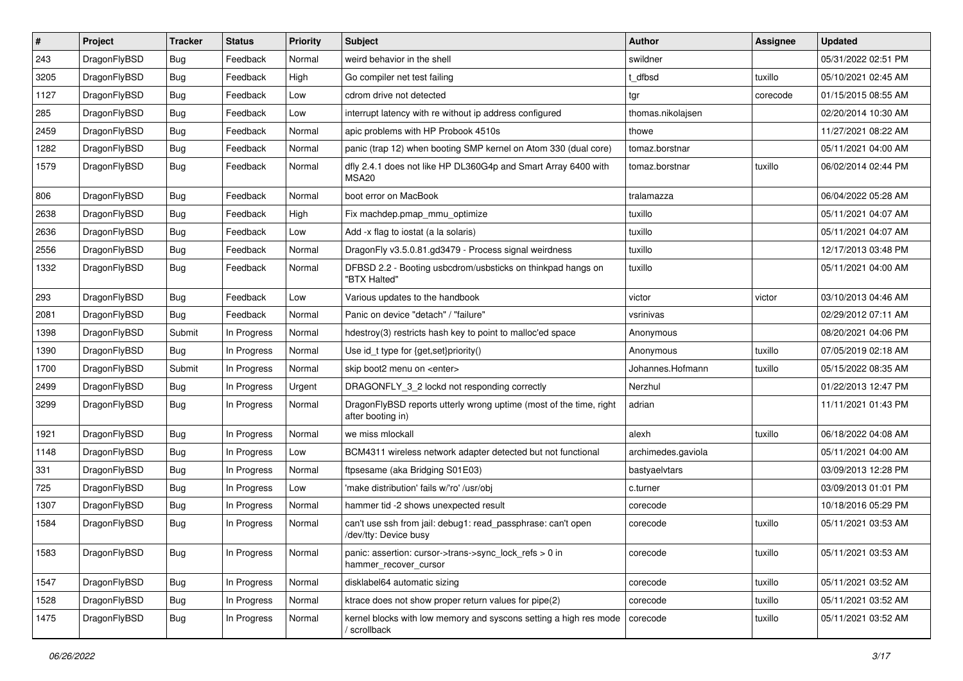| $\vert$ # | Project      | <b>Tracker</b> | <b>Status</b> | <b>Priority</b> | <b>Subject</b>                                                                          | <b>Author</b>      | <b>Assignee</b> | <b>Updated</b>      |
|-----------|--------------|----------------|---------------|-----------------|-----------------------------------------------------------------------------------------|--------------------|-----------------|---------------------|
| 243       | DragonFlyBSD | Bug            | Feedback      | Normal          | weird behavior in the shell                                                             | swildner           |                 | 05/31/2022 02:51 PM |
| 3205      | DragonFlyBSD | Bug            | Feedback      | High            | Go compiler net test failing                                                            | t dfbsd            | tuxillo         | 05/10/2021 02:45 AM |
| 1127      | DragonFlyBSD | Bug            | Feedback      | Low             | cdrom drive not detected                                                                | tgr                | corecode        | 01/15/2015 08:55 AM |
| 285       | DragonFlyBSD | <b>Bug</b>     | Feedback      | Low             | interrupt latency with re without ip address configured                                 | thomas.nikolajsen  |                 | 02/20/2014 10:30 AM |
| 2459      | DragonFlyBSD | Bug            | Feedback      | Normal          | apic problems with HP Probook 4510s                                                     | thowe              |                 | 11/27/2021 08:22 AM |
| 1282      | DragonFlyBSD | <b>Bug</b>     | Feedback      | Normal          | panic (trap 12) when booting SMP kernel on Atom 330 (dual core)                         | tomaz.borstnar     |                 | 05/11/2021 04:00 AM |
| 1579      | DragonFlyBSD | Bug            | Feedback      | Normal          | dfly 2.4.1 does not like HP DL360G4p and Smart Array 6400 with<br>MSA <sub>20</sub>     | tomaz.borstnar     | tuxillo         | 06/02/2014 02:44 PM |
| 806       | DragonFlyBSD | Bug            | Feedback      | Normal          | boot error on MacBook                                                                   | tralamazza         |                 | 06/04/2022 05:28 AM |
| 2638      | DragonFlyBSD | Bug            | Feedback      | High            | Fix machdep.pmap_mmu_optimize                                                           | tuxillo            |                 | 05/11/2021 04:07 AM |
| 2636      | DragonFlyBSD | <b>Bug</b>     | Feedback      | Low             | Add -x flag to iostat (a la solaris)                                                    | tuxillo            |                 | 05/11/2021 04:07 AM |
| 2556      | DragonFlyBSD | <b>Bug</b>     | Feedback      | Normal          | DragonFly v3.5.0.81.gd3479 - Process signal weirdness                                   | tuxillo            |                 | 12/17/2013 03:48 PM |
| 1332      | DragonFlyBSD | Bug            | Feedback      | Normal          | DFBSD 2.2 - Booting usbcdrom/usbsticks on thinkpad hangs on<br>"BTX Halted"             | tuxillo            |                 | 05/11/2021 04:00 AM |
| 293       | DragonFlyBSD | Bug            | Feedback      | Low             | Various updates to the handbook                                                         | victor             | victor          | 03/10/2013 04:46 AM |
| 2081      | DragonFlyBSD | Bug            | Feedback      | Normal          | Panic on device "detach" / "failure"                                                    | vsrinivas          |                 | 02/29/2012 07:11 AM |
| 1398      | DragonFlyBSD | Submit         | In Progress   | Normal          | hdestroy(3) restricts hash key to point to malloc'ed space                              | Anonymous          |                 | 08/20/2021 04:06 PM |
| 1390      | DragonFlyBSD | Bug            | In Progress   | Normal          | Use id_t type for {get,set}priority()                                                   | Anonymous          | tuxillo         | 07/05/2019 02:18 AM |
| 1700      | DragonFlyBSD | Submit         | In Progress   | Normal          | skip boot2 menu on <enter></enter>                                                      | Johannes.Hofmann   | tuxillo         | 05/15/2022 08:35 AM |
| 2499      | DragonFlyBSD | Bug            | In Progress   | Urgent          | DRAGONFLY_3_2 lockd not responding correctly                                            | Nerzhul            |                 | 01/22/2013 12:47 PM |
| 3299      | DragonFlyBSD | Bug            | In Progress   | Normal          | DragonFlyBSD reports utterly wrong uptime (most of the time, right<br>after booting in) | adrian             |                 | 11/11/2021 01:43 PM |
| 1921      | DragonFlyBSD | Bug            | In Progress   | Normal          | we miss mlockall                                                                        | alexh              | tuxillo         | 06/18/2022 04:08 AM |
| 1148      | DragonFlyBSD | Bug            | In Progress   | Low             | BCM4311 wireless network adapter detected but not functional                            | archimedes.gaviola |                 | 05/11/2021 04:00 AM |
| 331       | DragonFlyBSD | <b>Bug</b>     | In Progress   | Normal          | ftpsesame (aka Bridging S01E03)                                                         | bastyaelvtars      |                 | 03/09/2013 12:28 PM |
| 725       | DragonFlyBSD | Bug            | In Progress   | Low             | 'make distribution' fails w/'ro' /usr/obj                                               | c.turner           |                 | 03/09/2013 01:01 PM |
| 1307      | DragonFlyBSD | <b>Bug</b>     | In Progress   | Normal          | hammer tid -2 shows unexpected result                                                   | corecode           |                 | 10/18/2016 05:29 PM |
| 1584      | DragonFlyBSD | Bug            | In Progress   | Normal          | can't use ssh from jail: debug1: read_passphrase: can't open<br>/dev/tty: Device busy   | corecode           | tuxillo         | 05/11/2021 03:53 AM |
| 1583      | DragonFlyBSD | <b>Bug</b>     | In Progress   | Normal          | panic: assertion: cursor->trans->sync_lock_refs > 0 in<br>hammer_recover_cursor         | corecode           | tuxillo         | 05/11/2021 03:53 AM |
| 1547      | DragonFlyBSD | <b>Bug</b>     | In Progress   | Normal          | disklabel64 automatic sizing                                                            | corecode           | tuxillo         | 05/11/2021 03:52 AM |
| 1528      | DragonFlyBSD | Bug            | In Progress   | Normal          | ktrace does not show proper return values for pipe(2)                                   | corecode           | tuxillo         | 05/11/2021 03:52 AM |
| 1475      | DragonFlyBSD | <b>Bug</b>     | In Progress   | Normal          | kernel blocks with low memory and syscons setting a high res mode<br>/ scrollback       | corecode           | tuxillo         | 05/11/2021 03:52 AM |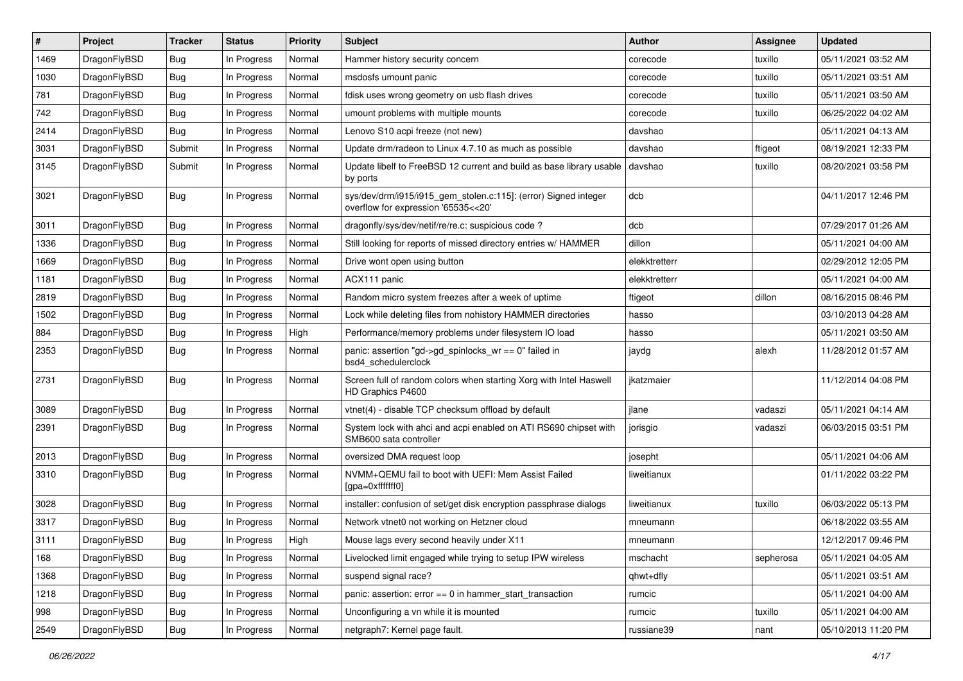| ∦    | Project      | <b>Tracker</b> | <b>Status</b> | <b>Priority</b> | <b>Subject</b>                                                                                         | Author        | <b>Assignee</b> | <b>Updated</b>      |
|------|--------------|----------------|---------------|-----------------|--------------------------------------------------------------------------------------------------------|---------------|-----------------|---------------------|
| 1469 | DragonFlyBSD | <b>Bug</b>     | In Progress   | Normal          | Hammer history security concern                                                                        | corecode      | tuxillo         | 05/11/2021 03:52 AM |
| 1030 | DragonFlyBSD | <b>Bug</b>     | In Progress   | Normal          | msdosfs umount panic                                                                                   | corecode      | tuxillo         | 05/11/2021 03:51 AM |
| 781  | DragonFlyBSD | <b>Bug</b>     | In Progress   | Normal          | fdisk uses wrong geometry on usb flash drives                                                          | corecode      | tuxillo         | 05/11/2021 03:50 AM |
| 742  | DragonFlyBSD | Bug            | In Progress   | Normal          | umount problems with multiple mounts                                                                   | corecode      | tuxillo         | 06/25/2022 04:02 AM |
| 2414 | DragonFlyBSD | <b>Bug</b>     | In Progress   | Normal          | Lenovo S10 acpi freeze (not new)                                                                       | davshao       |                 | 05/11/2021 04:13 AM |
| 3031 | DragonFlyBSD | Submit         | In Progress   | Normal          | Update drm/radeon to Linux 4.7.10 as much as possible                                                  | davshao       | ftigeot         | 08/19/2021 12:33 PM |
| 3145 | DragonFlyBSD | Submit         | In Progress   | Normal          | Update libelf to FreeBSD 12 current and build as base library usable<br>by ports                       | davshao       | tuxillo         | 08/20/2021 03:58 PM |
| 3021 | DragonFlyBSD | Bug            | In Progress   | Normal          | sys/dev/drm/i915/i915_gem_stolen.c:115]: (error) Signed integer<br>overflow for expression '65535<<20' | dcb           |                 | 04/11/2017 12:46 PM |
| 3011 | DragonFlyBSD | <b>Bug</b>     | In Progress   | Normal          | dragonfly/sys/dev/netif/re/re.c: suspicious code ?                                                     | dcb           |                 | 07/29/2017 01:26 AM |
| 1336 | DragonFlyBSD | Bug            | In Progress   | Normal          | Still looking for reports of missed directory entries w/ HAMMER                                        | dillon        |                 | 05/11/2021 04:00 AM |
| 1669 | DragonFlyBSD | <b>Bug</b>     | In Progress   | Normal          | Drive wont open using button                                                                           | elekktretterr |                 | 02/29/2012 12:05 PM |
| 1181 | DragonFlyBSD | <b>Bug</b>     | In Progress   | Normal          | ACX111 panic                                                                                           | elekktretterr |                 | 05/11/2021 04:00 AM |
| 2819 | DragonFlyBSD | Bug            | In Progress   | Normal          | Random micro system freezes after a week of uptime                                                     | ftigeot       | dillon          | 08/16/2015 08:46 PM |
| 1502 | DragonFlyBSD | <b>Bug</b>     | In Progress   | Normal          | Lock while deleting files from nohistory HAMMER directories                                            | hasso         |                 | 03/10/2013 04:28 AM |
| 884  | DragonFlyBSD | <b>Bug</b>     | In Progress   | High            | Performance/memory problems under filesystem IO load                                                   | hasso         |                 | 05/11/2021 03:50 AM |
| 2353 | DragonFlyBSD | Bug            | In Progress   | Normal          | panic: assertion "gd->gd_spinlocks_wr == 0" failed in<br>bsd4 schedulerclock                           | jaydg         | alexh           | 11/28/2012 01:57 AM |
| 2731 | DragonFlyBSD | Bug            | In Progress   | Normal          | Screen full of random colors when starting Xorg with Intel Haswell<br>HD Graphics P4600                | jkatzmaier    |                 | 11/12/2014 04:08 PM |
| 3089 | DragonFlyBSD | <b>Bug</b>     | In Progress   | Normal          | vtnet(4) - disable TCP checksum offload by default                                                     | jlane         | vadaszi         | 05/11/2021 04:14 AM |
| 2391 | DragonFlyBSD | <b>Bug</b>     | In Progress   | Normal          | System lock with ahci and acpi enabled on ATI RS690 chipset with<br>SMB600 sata controller             | jorisgio      | vadaszi         | 06/03/2015 03:51 PM |
| 2013 | DragonFlyBSD | <b>Bug</b>     | In Progress   | Normal          | oversized DMA request loop                                                                             | josepht       |                 | 05/11/2021 04:06 AM |
| 3310 | DragonFlyBSD | Bug            | In Progress   | Normal          | NVMM+QEMU fail to boot with UEFI: Mem Assist Failed<br>[gpa=0xfffffff0]                                | liweitianux   |                 | 01/11/2022 03:22 PM |
| 3028 | DragonFlyBSD | Bug            | In Progress   | Normal          | installer: confusion of set/get disk encryption passphrase dialogs                                     | liweitianux   | tuxillo         | 06/03/2022 05:13 PM |
| 3317 | DragonFlyBSD | <b>Bug</b>     | In Progress   | Normal          | Network vtnet0 not working on Hetzner cloud                                                            | mneumann      |                 | 06/18/2022 03:55 AM |
| 3111 | DragonFlyBSD | Bug            | In Progress   | High            | Mouse lags every second heavily under X11                                                              | mneumann      |                 | 12/12/2017 09:46 PM |
| 168  | DragonFlyBSD | Bug            | In Progress   | Normal          | Livelocked limit engaged while trying to setup IPW wireless                                            | mschacht      | sepherosa       | 05/11/2021 04:05 AM |
| 1368 | DragonFlyBSD | <b>Bug</b>     | In Progress   | Normal          | suspend signal race?                                                                                   | qhwt+dfly     |                 | 05/11/2021 03:51 AM |
| 1218 | DragonFlyBSD | <b>Bug</b>     | In Progress   | Normal          | panic: assertion: error == 0 in hammer_start_transaction                                               | rumcic        |                 | 05/11/2021 04:00 AM |
| 998  | DragonFlyBSD | Bug            | In Progress   | Normal          | Unconfiguring a vn while it is mounted                                                                 | rumcic        | tuxillo         | 05/11/2021 04:00 AM |
| 2549 | DragonFlyBSD | <b>Bug</b>     | In Progress   | Normal          | netgraph7: Kernel page fault.                                                                          | russiane39    | nant            | 05/10/2013 11:20 PM |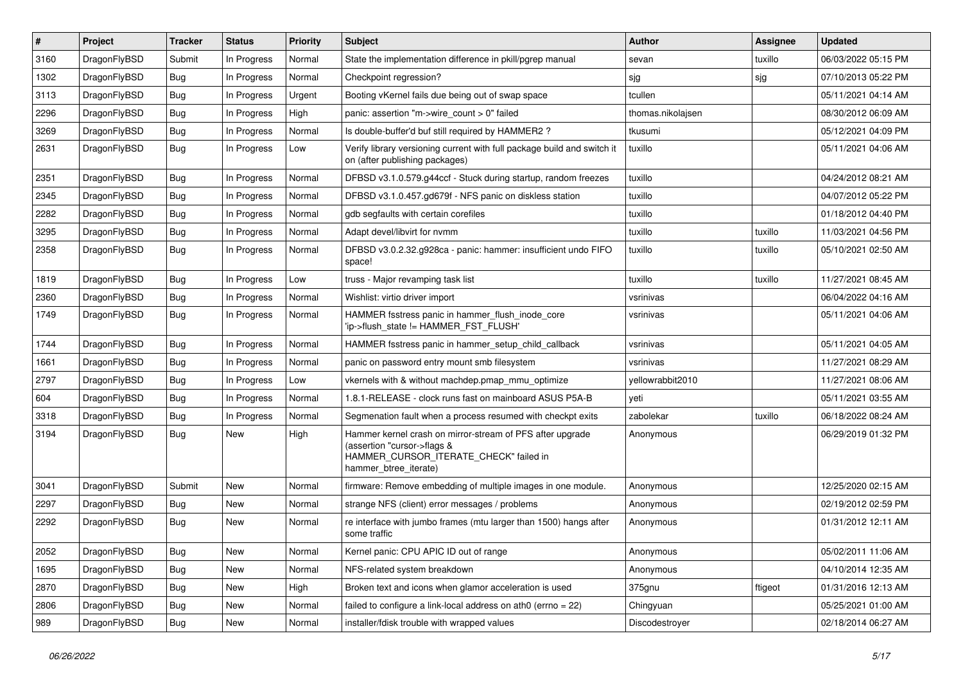| #    | Project      | <b>Tracker</b> | <b>Status</b> | <b>Priority</b> | <b>Subject</b>                                                                                                                                              | <b>Author</b>     | Assignee | <b>Updated</b>      |
|------|--------------|----------------|---------------|-----------------|-------------------------------------------------------------------------------------------------------------------------------------------------------------|-------------------|----------|---------------------|
| 3160 | DragonFlyBSD | Submit         | In Progress   | Normal          | State the implementation difference in pkill/pgrep manual                                                                                                   | sevan             | tuxillo  | 06/03/2022 05:15 PM |
| 1302 | DragonFlyBSD | Bug            | In Progress   | Normal          | Checkpoint regression?                                                                                                                                      | sjg               | sjg      | 07/10/2013 05:22 PM |
| 3113 | DragonFlyBSD | Bug            | In Progress   | Urgent          | Booting vKernel fails due being out of swap space                                                                                                           | tcullen           |          | 05/11/2021 04:14 AM |
| 2296 | DragonFlyBSD | Bug            | In Progress   | High            | panic: assertion "m->wire count > 0" failed                                                                                                                 | thomas.nikolajsen |          | 08/30/2012 06:09 AM |
| 3269 | DragonFlyBSD | Bug            | In Progress   | Normal          | Is double-buffer'd buf still required by HAMMER2 ?                                                                                                          | tkusumi           |          | 05/12/2021 04:09 PM |
| 2631 | DragonFlyBSD | <b>Bug</b>     | In Progress   | Low             | Verify library versioning current with full package build and switch it<br>on (after publishing packages)                                                   | tuxillo           |          | 05/11/2021 04:06 AM |
| 2351 | DragonFlyBSD | <b>Bug</b>     | In Progress   | Normal          | DFBSD v3.1.0.579.g44ccf - Stuck during startup, random freezes                                                                                              | tuxillo           |          | 04/24/2012 08:21 AM |
| 2345 | DragonFlyBSD | <b>Bug</b>     | In Progress   | Normal          | DFBSD v3.1.0.457.gd679f - NFS panic on diskless station                                                                                                     | tuxillo           |          | 04/07/2012 05:22 PM |
| 2282 | DragonFlyBSD | <b>Bug</b>     | In Progress   | Normal          | gdb segfaults with certain corefiles                                                                                                                        | tuxillo           |          | 01/18/2012 04:40 PM |
| 3295 | DragonFlyBSD | <b>Bug</b>     | In Progress   | Normal          | Adapt devel/libvirt for nymm                                                                                                                                | tuxillo           | tuxillo  | 11/03/2021 04:56 PM |
| 2358 | DragonFlyBSD | <b>Bug</b>     | In Progress   | Normal          | DFBSD v3.0.2.32.g928ca - panic: hammer: insufficient undo FIFO<br>space!                                                                                    | tuxillo           | tuxillo  | 05/10/2021 02:50 AM |
| 1819 | DragonFlyBSD | <b>Bug</b>     | In Progress   | Low             | truss - Major revamping task list                                                                                                                           | tuxillo           | tuxillo  | 11/27/2021 08:45 AM |
| 2360 | DragonFlyBSD | <b>Bug</b>     | In Progress   | Normal          | Wishlist: virtio driver import                                                                                                                              | vsrinivas         |          | 06/04/2022 04:16 AM |
| 1749 | DragonFlyBSD | <b>Bug</b>     | In Progress   | Normal          | HAMMER fsstress panic in hammer_flush_inode_core<br>'ip->flush_state != HAMMER_FST_FLUSH'                                                                   | vsrinivas         |          | 05/11/2021 04:06 AM |
| 1744 | DragonFlyBSD | <b>Bug</b>     | In Progress   | Normal          | HAMMER fsstress panic in hammer_setup_child_callback                                                                                                        | vsrinivas         |          | 05/11/2021 04:05 AM |
| 1661 | DragonFlyBSD | <b>Bug</b>     | In Progress   | Normal          | panic on password entry mount smb filesystem                                                                                                                | vsrinivas         |          | 11/27/2021 08:29 AM |
| 2797 | DragonFlyBSD | <b>Bug</b>     | In Progress   | Low             | vkernels with & without machdep.pmap_mmu_optimize                                                                                                           | yellowrabbit2010  |          | 11/27/2021 08:06 AM |
| 604  | DragonFlyBSD | <b>Bug</b>     | In Progress   | Normal          | 1.8.1-RELEASE - clock runs fast on mainboard ASUS P5A-B                                                                                                     | yeti              |          | 05/11/2021 03:55 AM |
| 3318 | DragonFlyBSD | <b>Bug</b>     | In Progress   | Normal          | Segmenation fault when a process resumed with checkpt exits                                                                                                 | zabolekar         | tuxillo  | 06/18/2022 08:24 AM |
| 3194 | DragonFlyBSD | <b>Bug</b>     | New           | High            | Hammer kernel crash on mirror-stream of PFS after upgrade<br>(assertion "cursor->flags &<br>HAMMER_CURSOR_ITERATE_CHECK" failed in<br>hammer_btree_iterate) | Anonymous         |          | 06/29/2019 01:32 PM |
| 3041 | DragonFlyBSD | Submit         | New           | Normal          | firmware: Remove embedding of multiple images in one module.                                                                                                | Anonymous         |          | 12/25/2020 02:15 AM |
| 2297 | DragonFlyBSD | <b>Bug</b>     | New           | Normal          | strange NFS (client) error messages / problems                                                                                                              | Anonymous         |          | 02/19/2012 02:59 PM |
| 2292 | DragonFlyBSD | Bug            | New           | Normal          | re interface with jumbo frames (mtu larger than 1500) hangs after<br>some traffic                                                                           | Anonymous         |          | 01/31/2012 12:11 AM |
| 2052 | DragonFlyBSD | <b>Bug</b>     | New           | Normal          | Kernel panic: CPU APIC ID out of range                                                                                                                      | Anonymous         |          | 05/02/2011 11:06 AM |
| 1695 | DragonFlyBSD | <b>Bug</b>     | New           | Normal          | NFS-related system breakdown                                                                                                                                | Anonymous         |          | 04/10/2014 12:35 AM |
| 2870 | DragonFlyBSD | <b>Bug</b>     | New           | High            | Broken text and icons when glamor acceleration is used                                                                                                      | 375gnu            | ftigeot  | 01/31/2016 12:13 AM |
| 2806 | DragonFlyBSD | <b>Bug</b>     | <b>New</b>    | Normal          | failed to configure a link-local address on ath0 (errno = 22)                                                                                               | Chingyuan         |          | 05/25/2021 01:00 AM |
| 989  | DragonFlyBSD | <b>Bug</b>     | New           | Normal          | installer/fdisk trouble with wrapped values                                                                                                                 | Discodestroyer    |          | 02/18/2014 06:27 AM |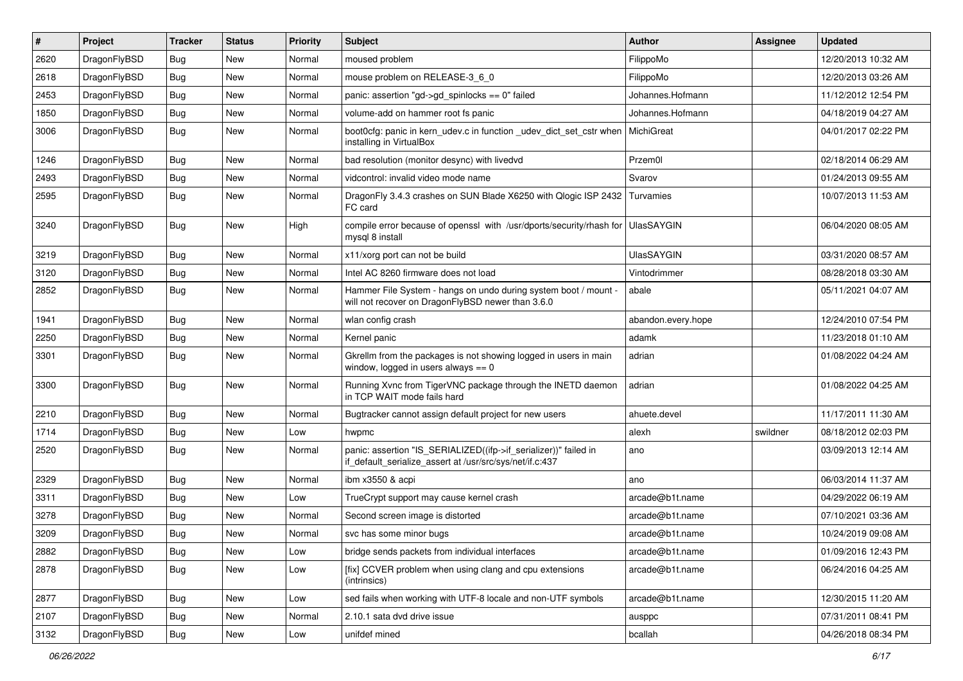| #    | Project      | <b>Tracker</b> | <b>Status</b> | <b>Priority</b> | <b>Subject</b>                                                                                                               | Author             | Assignee | <b>Updated</b>      |
|------|--------------|----------------|---------------|-----------------|------------------------------------------------------------------------------------------------------------------------------|--------------------|----------|---------------------|
| 2620 | DragonFlyBSD | <b>Bug</b>     | New           | Normal          | moused problem                                                                                                               | FilippoMo          |          | 12/20/2013 10:32 AM |
| 2618 | DragonFlyBSD | <b>Bug</b>     | New           | Normal          | mouse problem on RELEASE-3_6_0                                                                                               | FilippoMo          |          | 12/20/2013 03:26 AM |
| 2453 | DragonFlyBSD | <b>Bug</b>     | New           | Normal          | panic: assertion "gd->gd_spinlocks == 0" failed                                                                              | Johannes.Hofmann   |          | 11/12/2012 12:54 PM |
| 1850 | DragonFlyBSD | <b>Bug</b>     | New           | Normal          | volume-add on hammer root fs panic                                                                                           | Johannes.Hofmann   |          | 04/18/2019 04:27 AM |
| 3006 | DragonFlyBSD | Bug            | <b>New</b>    | Normal          | boot0cfg: panic in kern_udev.c in function _udev_dict_set_cstr when<br>installing in VirtualBox                              | <b>MichiGreat</b>  |          | 04/01/2017 02:22 PM |
| 1246 | DragonFlyBSD | <b>Bug</b>     | <b>New</b>    | Normal          | bad resolution (monitor desync) with livedvd                                                                                 | Przem0l            |          | 02/18/2014 06:29 AM |
| 2493 | DragonFlyBSD | <b>Bug</b>     | New           | Normal          | vidcontrol: invalid video mode name                                                                                          | Svarov             |          | 01/24/2013 09:55 AM |
| 2595 | DragonFlyBSD | <b>Bug</b>     | New           | Normal          | DragonFly 3.4.3 crashes on SUN Blade X6250 with Qlogic ISP 2432<br>FC card                                                   | Turvamies          |          | 10/07/2013 11:53 AM |
| 3240 | DragonFlyBSD | Bug            | New           | High            | compile error because of openssl with /usr/dports/security/rhash for<br>mysql 8 install                                      | <b>UlasSAYGIN</b>  |          | 06/04/2020 08:05 AM |
| 3219 | DragonFlyBSD | Bug            | New           | Normal          | x11/xorg port can not be build                                                                                               | <b>UlasSAYGIN</b>  |          | 03/31/2020 08:57 AM |
| 3120 | DragonFlyBSD | <b>Bug</b>     | New           | Normal          | Intel AC 8260 firmware does not load                                                                                         | Vintodrimmer       |          | 08/28/2018 03:30 AM |
| 2852 | DragonFlyBSD | Bug            | New           | Normal          | Hammer File System - hangs on undo during system boot / mount -<br>will not recover on DragonFlyBSD newer than 3.6.0         | abale              |          | 05/11/2021 04:07 AM |
| 1941 | DragonFlyBSD | Bug            | New           | Normal          | wlan config crash                                                                                                            | abandon.every.hope |          | 12/24/2010 07:54 PM |
| 2250 | DragonFlyBSD | <b>Bug</b>     | New           | Normal          | Kernel panic                                                                                                                 | adamk              |          | 11/23/2018 01:10 AM |
| 3301 | DragonFlyBSD | <b>Bug</b>     | New           | Normal          | Gkrellm from the packages is not showing logged in users in main<br>window, logged in users always $== 0$                    | adrian             |          | 01/08/2022 04:24 AM |
| 3300 | DragonFlyBSD | <b>Bug</b>     | New           | Normal          | Running Xvnc from TigerVNC package through the INETD daemon<br>in TCP WAIT mode fails hard                                   | adrian             |          | 01/08/2022 04:25 AM |
| 2210 | DragonFlyBSD | <b>Bug</b>     | <b>New</b>    | Normal          | Bugtracker cannot assign default project for new users                                                                       | ahuete.devel       |          | 11/17/2011 11:30 AM |
| 1714 | DragonFlyBSD | <b>Bug</b>     | New           | Low             | hwpmc                                                                                                                        | alexh              | swildner | 08/18/2012 02:03 PM |
| 2520 | DragonFlyBSD | <b>Bug</b>     | <b>New</b>    | Normal          | panic: assertion "IS_SERIALIZED((ifp->if_serializer))" failed in<br>if_default_serialize_assert at /usr/src/sys/net/if.c:437 | ano                |          | 03/09/2013 12:14 AM |
| 2329 | DragonFlyBSD | Bug            | <b>New</b>    | Normal          | ibm x3550 & acpi                                                                                                             | ano                |          | 06/03/2014 11:37 AM |
| 3311 | DragonFlyBSD | <b>Bug</b>     | <b>New</b>    | Low             | TrueCrypt support may cause kernel crash                                                                                     | arcade@b1t.name    |          | 04/29/2022 06:19 AM |
| 3278 | DragonFlyBSD | Bug            | New           | Normal          | Second screen image is distorted                                                                                             | arcade@b1t.name    |          | 07/10/2021 03:36 AM |
| 3209 | DragonFlyBSD | <b>Bug</b>     | New           | Normal          | svc has some minor bugs                                                                                                      | arcade@b1t.name    |          | 10/24/2019 09:08 AM |
| 2882 | DragonFlyBSD | <b>Bug</b>     | New           | Low             | bridge sends packets from individual interfaces                                                                              | arcade@b1t.name    |          | 01/09/2016 12:43 PM |
| 2878 | DragonFlyBSD | <b>Bug</b>     | New           | Low             | [fix] CCVER problem when using clang and cpu extensions<br>(intrinsics)                                                      | arcade@b1t.name    |          | 06/24/2016 04:25 AM |
| 2877 | DragonFlyBSD | <b>Bug</b>     | New           | Low             | sed fails when working with UTF-8 locale and non-UTF symbols                                                                 | arcade@b1t.name    |          | 12/30/2015 11:20 AM |
| 2107 | DragonFlyBSD | <b>Bug</b>     | New           | Normal          | 2.10.1 sata dvd drive issue                                                                                                  | ausppc             |          | 07/31/2011 08:41 PM |
| 3132 | DragonFlyBSD | Bug            | New           | Low             | unifdef mined                                                                                                                | bcallah            |          | 04/26/2018 08:34 PM |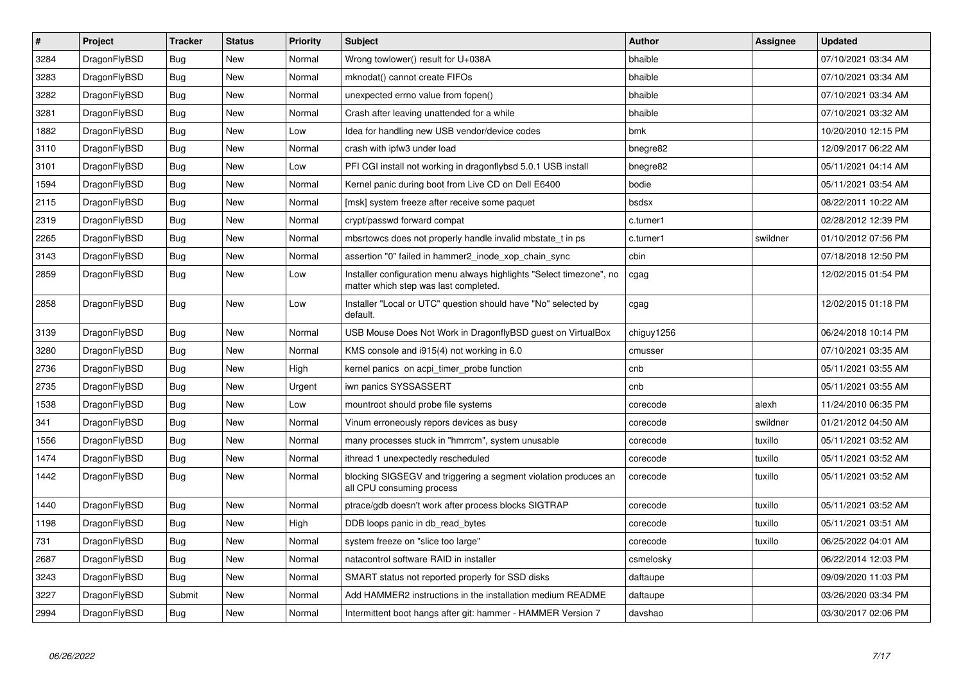| $\vert$ # | Project      | <b>Tracker</b> | <b>Status</b> | Priority | <b>Subject</b>                                                                                                | Author     | Assignee | <b>Updated</b>      |
|-----------|--------------|----------------|---------------|----------|---------------------------------------------------------------------------------------------------------------|------------|----------|---------------------|
| 3284      | DragonFlyBSD | <b>Bug</b>     | New           | Normal   | Wrong towlower() result for U+038A                                                                            | bhaible    |          | 07/10/2021 03:34 AM |
| 3283      | DragonFlyBSD | <b>Bug</b>     | <b>New</b>    | Normal   | mknodat() cannot create FIFOs                                                                                 | bhaible    |          | 07/10/2021 03:34 AM |
| 3282      | DragonFlyBSD | <b>Bug</b>     | <b>New</b>    | Normal   | unexpected errno value from fopen()                                                                           | bhaible    |          | 07/10/2021 03:34 AM |
| 3281      | DragonFlyBSD | Bug            | <b>New</b>    | Normal   | Crash after leaving unattended for a while                                                                    | bhaible    |          | 07/10/2021 03:32 AM |
| 1882      | DragonFlyBSD | <b>Bug</b>     | <b>New</b>    | Low      | Idea for handling new USB vendor/device codes                                                                 | bmk        |          | 10/20/2010 12:15 PM |
| 3110      | DragonFlyBSD | <b>Bug</b>     | <b>New</b>    | Normal   | crash with ipfw3 under load                                                                                   | bnegre82   |          | 12/09/2017 06:22 AM |
| 3101      | DragonFlyBSD | Bug            | New           | Low      | PFI CGI install not working in dragonflybsd 5.0.1 USB install                                                 | bnegre82   |          | 05/11/2021 04:14 AM |
| 1594      | DragonFlyBSD | <b>Bug</b>     | <b>New</b>    | Normal   | Kernel panic during boot from Live CD on Dell E6400                                                           | bodie      |          | 05/11/2021 03:54 AM |
| 2115      | DragonFlyBSD | Bug            | New           | Normal   | [msk] system freeze after receive some paquet                                                                 | bsdsx      |          | 08/22/2011 10:22 AM |
| 2319      | DragonFlyBSD | <b>Bug</b>     | <b>New</b>    | Normal   | crypt/passwd forward compat                                                                                   | c.turner1  |          | 02/28/2012 12:39 PM |
| 2265      | DragonFlyBSD | Bug            | New           | Normal   | mbsrtowcs does not properly handle invalid mbstate t in ps                                                    | c.turner1  | swildner | 01/10/2012 07:56 PM |
| 3143      | DragonFlyBSD | Bug            | New           | Normal   | assertion "0" failed in hammer2 inode xop chain sync                                                          | cbin       |          | 07/18/2018 12:50 PM |
| 2859      | DragonFlyBSD | Bug            | New           | Low      | Installer configuration menu always highlights "Select timezone", no<br>matter which step was last completed. | cgag       |          | 12/02/2015 01:54 PM |
| 2858      | DragonFlyBSD | <b>Bug</b>     | New           | Low      | Installer "Local or UTC" question should have "No" selected by<br>default.                                    | cgag       |          | 12/02/2015 01:18 PM |
| 3139      | DragonFlyBSD | <b>Bug</b>     | <b>New</b>    | Normal   | USB Mouse Does Not Work in DragonflyBSD guest on VirtualBox                                                   | chiguy1256 |          | 06/24/2018 10:14 PM |
| 3280      | DragonFlyBSD | Bug            | <b>New</b>    | Normal   | KMS console and i915(4) not working in 6.0                                                                    | cmusser    |          | 07/10/2021 03:35 AM |
| 2736      | DragonFlyBSD | <b>Bug</b>     | <b>New</b>    | High     | kernel panics on acpi_timer_probe function                                                                    | cnb        |          | 05/11/2021 03:55 AM |
| 2735      | DragonFlyBSD | <b>Bug</b>     | New           | Urgent   | iwn panics SYSSASSERT                                                                                         | cnb        |          | 05/11/2021 03:55 AM |
| 1538      | DragonFlyBSD | Bug            | New           | Low      | mountroot should probe file systems                                                                           | corecode   | alexh    | 11/24/2010 06:35 PM |
| 341       | DragonFlyBSD | <b>Bug</b>     | <b>New</b>    | Normal   | Vinum erroneously repors devices as busy                                                                      | corecode   | swildner | 01/21/2012 04:50 AM |
| 1556      | DragonFlyBSD | Bug            | New           | Normal   | many processes stuck in "hmrrcm", system unusable                                                             | corecode   | tuxillo  | 05/11/2021 03:52 AM |
| 1474      | DragonFlyBSD | <b>Bug</b>     | New           | Normal   | ithread 1 unexpectedly rescheduled                                                                            | corecode   | tuxillo  | 05/11/2021 03:52 AM |
| 1442      | DragonFlyBSD | Bug            | New           | Normal   | blocking SIGSEGV and triggering a segment violation produces an<br>all CPU consuming process                  | corecode   | tuxillo  | 05/11/2021 03:52 AM |
| 1440      | DragonFlyBSD | <b>Bug</b>     | New           | Normal   | ptrace/gdb doesn't work after process blocks SIGTRAP                                                          | corecode   | tuxillo  | 05/11/2021 03:52 AM |
| 1198      | DragonFlyBSD | Bug            | New           | High     | DDB loops panic in db_read_bytes                                                                              | corecode   | tuxillo  | 05/11/2021 03:51 AM |
| 731       | DragonFlyBSD | <b>Bug</b>     | New           | Normal   | system freeze on "slice too large"                                                                            | corecode   | tuxillo  | 06/25/2022 04:01 AM |
| 2687      | DragonFlyBSD | <b>Bug</b>     | <b>New</b>    | Normal   | natacontrol software RAID in installer                                                                        | csmelosky  |          | 06/22/2014 12:03 PM |
| 3243      | DragonFlyBSD | Bug            | New           | Normal   | SMART status not reported properly for SSD disks                                                              | daftaupe   |          | 09/09/2020 11:03 PM |
| 3227      | DragonFlyBSD | Submit         | New           | Normal   | Add HAMMER2 instructions in the installation medium README                                                    | daftaupe   |          | 03/26/2020 03:34 PM |
| 2994      | DragonFlyBSD | <b>Bug</b>     | <b>New</b>    | Normal   | Intermittent boot hangs after git: hammer - HAMMER Version 7                                                  | davshao    |          | 03/30/2017 02:06 PM |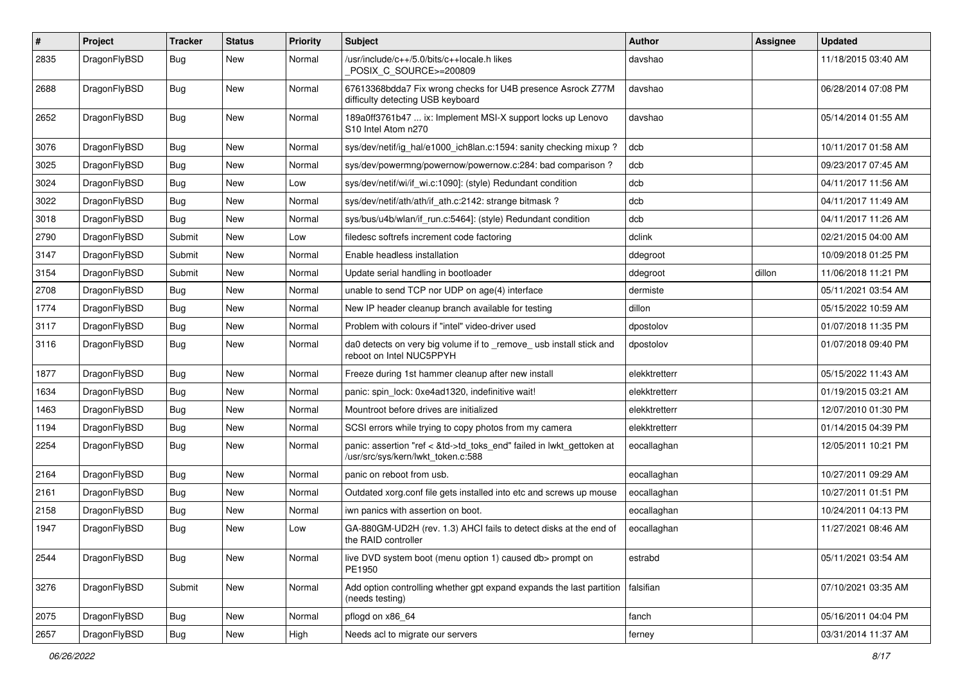| $\vert$ # | Project      | <b>Tracker</b> | <b>Status</b> | <b>Priority</b> | <b>Subject</b>                                                                                             | Author        | Assignee | <b>Updated</b>      |
|-----------|--------------|----------------|---------------|-----------------|------------------------------------------------------------------------------------------------------------|---------------|----------|---------------------|
| 2835      | DragonFlyBSD | Bug            | New           | Normal          | /usr/include/c++/5.0/bits/c++locale.h likes<br>POSIX C_SOURCE>=200809                                      | davshao       |          | 11/18/2015 03:40 AM |
| 2688      | DragonFlyBSD | Bug            | New           | Normal          | 67613368bdda7 Fix wrong checks for U4B presence Asrock Z77M<br>difficulty detecting USB keyboard           | davshao       |          | 06/28/2014 07:08 PM |
| 2652      | DragonFlyBSD | Bug            | New           | Normal          | 189a0ff3761b47  ix: Implement MSI-X support locks up Lenovo<br>S10 Intel Atom n270                         | davshao       |          | 05/14/2014 01:55 AM |
| 3076      | DragonFlyBSD | Bug            | <b>New</b>    | Normal          | sys/dev/netif/ig_hal/e1000_ich8lan.c:1594: sanity checking mixup?                                          | dcb           |          | 10/11/2017 01:58 AM |
| 3025      | DragonFlyBSD | <b>Bug</b>     | New           | Normal          | sys/dev/powermng/powernow/powernow.c:284: bad comparison?                                                  | dcb           |          | 09/23/2017 07:45 AM |
| 3024      | DragonFlyBSD | <b>Bug</b>     | New           | Low             | sys/dev/netif/wi/if_wi.c:1090]: (style) Redundant condition                                                | dcb           |          | 04/11/2017 11:56 AM |
| 3022      | DragonFlyBSD | <b>Bug</b>     | <b>New</b>    | Normal          | sys/dev/netif/ath/ath/if_ath.c:2142: strange bitmask?                                                      | dcb           |          | 04/11/2017 11:49 AM |
| 3018      | DragonFlyBSD | <b>Bug</b>     | New           | Normal          | sys/bus/u4b/wlan/if run.c:5464]: (style) Redundant condition                                               | dcb           |          | 04/11/2017 11:26 AM |
| 2790      | DragonFlyBSD | Submit         | New           | Low             | filedesc softrefs increment code factoring                                                                 | dclink        |          | 02/21/2015 04:00 AM |
| 3147      | DragonFlyBSD | Submit         | New           | Normal          | Enable headless installation                                                                               | ddegroot      |          | 10/09/2018 01:25 PM |
| 3154      | DragonFlyBSD | Submit         | New           | Normal          | Update serial handling in bootloader                                                                       | ddegroot      | dillon   | 11/06/2018 11:21 PM |
| 2708      | DragonFlyBSD | Bug            | <b>New</b>    | Normal          | unable to send TCP nor UDP on age(4) interface                                                             | dermiste      |          | 05/11/2021 03:54 AM |
| 1774      | DragonFlyBSD | Bug            | New           | Normal          | New IP header cleanup branch available for testing                                                         | dillon        |          | 05/15/2022 10:59 AM |
| 3117      | DragonFlyBSD | Bug            | New           | Normal          | Problem with colours if "intel" video-driver used                                                          | dpostolov     |          | 01/07/2018 11:35 PM |
| 3116      | DragonFlyBSD | Bug            | New           | Normal          | da0 detects on very big volume if to _remove_usb install stick and<br>reboot on Intel NUC5PPYH             | dpostolov     |          | 01/07/2018 09:40 PM |
| 1877      | DragonFlyBSD | Bug            | <b>New</b>    | Normal          | Freeze during 1st hammer cleanup after new install                                                         | elekktretterr |          | 05/15/2022 11:43 AM |
| 1634      | DragonFlyBSD | <b>Bug</b>     | New           | Normal          | panic: spin lock: 0xe4ad1320, indefinitive wait!                                                           | elekktretterr |          | 01/19/2015 03:21 AM |
| 1463      | DragonFlyBSD | Bug            | New           | Normal          | Mountroot before drives are initialized                                                                    | elekktretterr |          | 12/07/2010 01:30 PM |
| 1194      | DragonFlyBSD | Bug            | New           | Normal          | SCSI errors while trying to copy photos from my camera                                                     | elekktretterr |          | 01/14/2015 04:39 PM |
| 2254      | DragonFlyBSD | Bug            | New           | Normal          | panic: assertion "ref < &td->td_toks_end" failed in lwkt_gettoken at<br>/usr/src/sys/kern/lwkt_token.c:588 | eocallaghan   |          | 12/05/2011 10:21 PM |
| 2164      | DragonFlyBSD | <b>Bug</b>     | <b>New</b>    | Normal          | panic on reboot from usb.                                                                                  | eocallaghan   |          | 10/27/2011 09:29 AM |
| 2161      | DragonFlyBSD | <b>Bug</b>     | New           | Normal          | Outdated xorg.conf file gets installed into etc and screws up mouse                                        | eocallaghan   |          | 10/27/2011 01:51 PM |
| 2158      | DragonFlyBSD | Bug            | New           | Normal          | iwn panics with assertion on boot.                                                                         | eocallaghan   |          | 10/24/2011 04:13 PM |
| 1947      | DragonFlyBSD | Bug            | New           | Low             | GA-880GM-UD2H (rev. 1.3) AHCI fails to detect disks at the end of<br>the RAID controller                   | eocallaghan   |          | 11/27/2021 08:46 AM |
| 2544      | DragonFlyBSD | Bug            | New           | Normal          | live DVD system boot (menu option 1) caused db> prompt on<br>PE1950                                        | estrabd       |          | 05/11/2021 03:54 AM |
| 3276      | DragonFlyBSD | Submit         | New           | Normal          | Add option controlling whether gpt expand expands the last partition<br>(needs testing)                    | falsifian     |          | 07/10/2021 03:35 AM |
| 2075      | DragonFlyBSD | Bug            | New           | Normal          | pflogd on x86_64                                                                                           | fanch         |          | 05/16/2011 04:04 PM |
| 2657      | DragonFlyBSD | <b>Bug</b>     | New           | High            | Needs acl to migrate our servers                                                                           | ferney        |          | 03/31/2014 11:37 AM |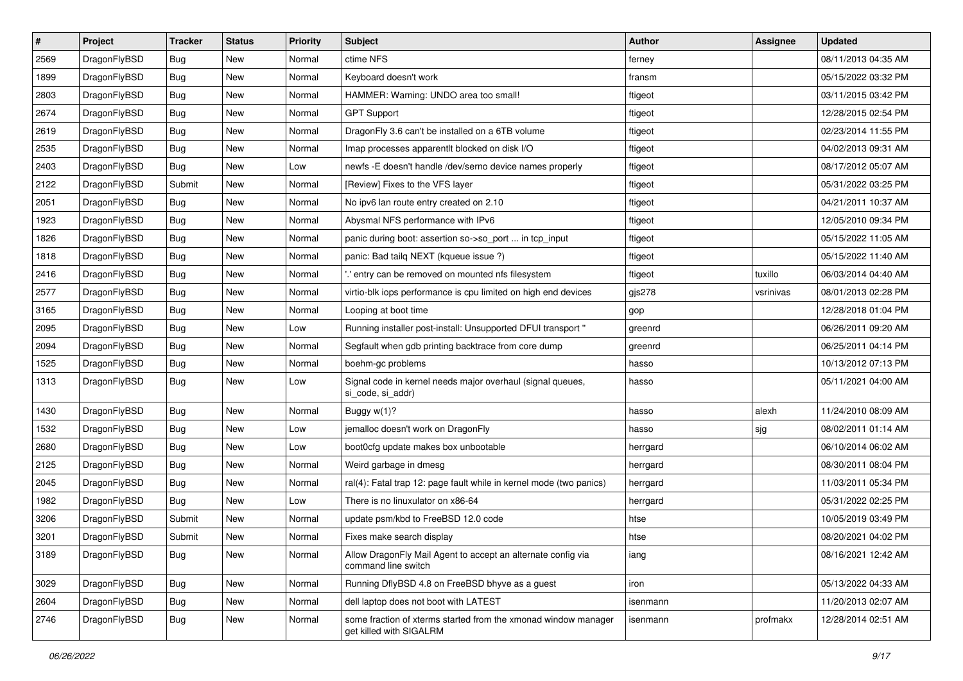| $\sharp$ | Project      | <b>Tracker</b> | <b>Status</b> | <b>Priority</b> | <b>Subject</b>                                                                            | Author       | <b>Assignee</b> | <b>Updated</b>      |
|----------|--------------|----------------|---------------|-----------------|-------------------------------------------------------------------------------------------|--------------|-----------------|---------------------|
| 2569     | DragonFlyBSD | Bug            | <b>New</b>    | Normal          | ctime NFS                                                                                 | ferney       |                 | 08/11/2013 04:35 AM |
| 1899     | DragonFlyBSD | Bug            | <b>New</b>    | Normal          | Keyboard doesn't work                                                                     | fransm       |                 | 05/15/2022 03:32 PM |
| 2803     | DragonFlyBSD | <b>Bug</b>     | <b>New</b>    | Normal          | HAMMER: Warning: UNDO area too small!                                                     | ftigeot      |                 | 03/11/2015 03:42 PM |
| 2674     | DragonFlyBSD | <b>Bug</b>     | New           | Normal          | <b>GPT Support</b>                                                                        | ftigeot      |                 | 12/28/2015 02:54 PM |
| 2619     | DragonFlyBSD | Bug            | <b>New</b>    | Normal          | Dragon Fly 3.6 can't be installed on a 6TB volume                                         | ftigeot      |                 | 02/23/2014 11:55 PM |
| 2535     | DragonFlyBSD | <b>Bug</b>     | New           | Normal          | Imap processes apparentlt blocked on disk I/O                                             | ftigeot      |                 | 04/02/2013 09:31 AM |
| 2403     | DragonFlyBSD | Bug            | New           | Low             | newfs - E doesn't handle /dev/serno device names properly                                 | ftigeot      |                 | 08/17/2012 05:07 AM |
| 2122     | DragonFlyBSD | Submit         | New           | Normal          | [Review] Fixes to the VFS layer                                                           | ftigeot      |                 | 05/31/2022 03:25 PM |
| 2051     | DragonFlyBSD | <b>Bug</b>     | New           | Normal          | No ipv6 lan route entry created on 2.10                                                   | ftigeot      |                 | 04/21/2011 10:37 AM |
| 1923     | DragonFlyBSD | Bug            | <b>New</b>    | Normal          | Abysmal NFS performance with IPv6                                                         | ftigeot      |                 | 12/05/2010 09:34 PM |
| 1826     | DragonFlyBSD | <b>Bug</b>     | New           | Normal          | panic during boot: assertion so->so_port  in tcp_input                                    | ftigeot      |                 | 05/15/2022 11:05 AM |
| 1818     | DragonFlyBSD | <b>Bug</b>     | New           | Normal          | panic: Bad tailg NEXT (kgueue issue ?)                                                    | ftigeot      |                 | 05/15/2022 11:40 AM |
| 2416     | DragonFlyBSD | <b>Bug</b>     | New           | Normal          | ".' entry can be removed on mounted nfs filesystem                                        | ftigeot      | tuxillo         | 06/03/2014 04:40 AM |
| 2577     | DragonFlyBSD | <b>Bug</b>     | <b>New</b>    | Normal          | virtio-blk iops performance is cpu limited on high end devices                            | $g$ js $278$ | vsrinivas       | 08/01/2013 02:28 PM |
| 3165     | DragonFlyBSD | <b>Bug</b>     | <b>New</b>    | Normal          | Looping at boot time                                                                      | gop          |                 | 12/28/2018 01:04 PM |
| 2095     | DragonFlyBSD | <b>Bug</b>     | <b>New</b>    | Low             | Running installer post-install: Unsupported DFUI transport "                              | greenrd      |                 | 06/26/2011 09:20 AM |
| 2094     | DragonFlyBSD | <b>Bug</b>     | New           | Normal          | Segfault when gdb printing backtrace from core dump                                       | greenrd      |                 | 06/25/2011 04:14 PM |
| 1525     | DragonFlyBSD | Bug            | <b>New</b>    | Normal          | boehm-gc problems                                                                         | hasso        |                 | 10/13/2012 07:13 PM |
| 1313     | DragonFlyBSD | <b>Bug</b>     | <b>New</b>    | Low             | Signal code in kernel needs major overhaul (signal queues,<br>si_code, si_addr)           | hasso        |                 | 05/11/2021 04:00 AM |
| 1430     | DragonFlyBSD | <b>Bug</b>     | New           | Normal          | Buggy w(1)?                                                                               | hasso        | alexh           | 11/24/2010 08:09 AM |
| 1532     | DragonFlyBSD | <b>Bug</b>     | <b>New</b>    | Low             | jemalloc doesn't work on DragonFly                                                        | hasso        | sjg             | 08/02/2011 01:14 AM |
| 2680     | DragonFlyBSD | <b>Bug</b>     | <b>New</b>    | Low             | boot0cfg update makes box unbootable                                                      | herrgard     |                 | 06/10/2014 06:02 AM |
| 2125     | DragonFlyBSD | <b>Bug</b>     | New           | Normal          | Weird garbage in dmesg                                                                    | herrgard     |                 | 08/30/2011 08:04 PM |
| 2045     | DragonFlyBSD | <b>Bug</b>     | <b>New</b>    | Normal          | ral(4): Fatal trap 12: page fault while in kernel mode (two panics)                       | herrgard     |                 | 11/03/2011 05:34 PM |
| 1982     | DragonFlyBSD | <b>Bug</b>     | <b>New</b>    | Low             | There is no linuxulator on x86-64                                                         | herrgard     |                 | 05/31/2022 02:25 PM |
| 3206     | DragonFlyBSD | Submit         | New           | Normal          | update psm/kbd to FreeBSD 12.0 code                                                       | htse         |                 | 10/05/2019 03:49 PM |
| 3201     | DragonFlyBSD | Submit         | New           | Normal          | Fixes make search display                                                                 | htse         |                 | 08/20/2021 04:02 PM |
| 3189     | DragonFlyBSD | Bug            | New           | Normal          | Allow DragonFly Mail Agent to accept an alternate config via<br>command line switch       | iang         |                 | 08/16/2021 12:42 AM |
| 3029     | DragonFlyBSD | <b>Bug</b>     | <b>New</b>    | Normal          | Running DflyBSD 4.8 on FreeBSD bhyve as a guest                                           | iron         |                 | 05/13/2022 04:33 AM |
| 2604     | DragonFlyBSD | <b>Bug</b>     | New           | Normal          | dell laptop does not boot with LATEST                                                     | isenmann     |                 | 11/20/2013 02:07 AM |
| 2746     | DragonFlyBSD | <b>Bug</b>     | New           | Normal          | some fraction of xterms started from the xmonad window manager<br>get killed with SIGALRM | isenmann     | profmakx        | 12/28/2014 02:51 AM |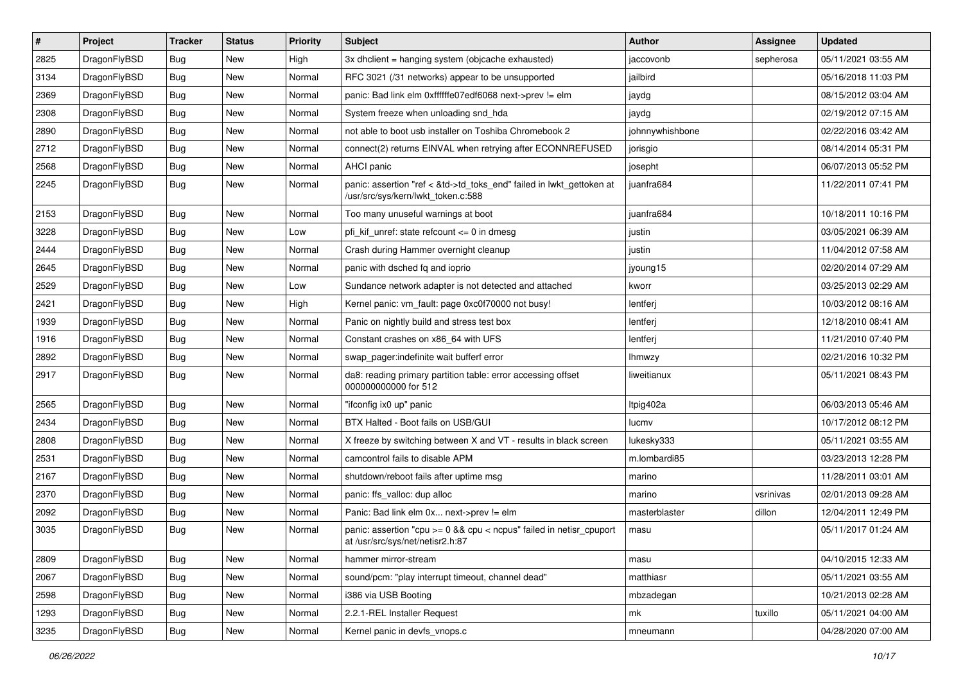| $\sharp$ | Project      | <b>Tracker</b> | <b>Status</b> | <b>Priority</b> | <b>Subject</b>                                                                                             | Author          | Assignee  | <b>Updated</b>      |
|----------|--------------|----------------|---------------|-----------------|------------------------------------------------------------------------------------------------------------|-----------------|-----------|---------------------|
| 2825     | DragonFlyBSD | <b>Bug</b>     | New           | High            | 3x dhclient = hanging system (objcache exhausted)                                                          | jaccovonb       | sepherosa | 05/11/2021 03:55 AM |
| 3134     | DragonFlyBSD | <b>Bug</b>     | <b>New</b>    | Normal          | RFC 3021 (/31 networks) appear to be unsupported                                                           | jailbird        |           | 05/16/2018 11:03 PM |
| 2369     | DragonFlyBSD | <b>Bug</b>     | New           | Normal          | panic: Bad link elm 0xffffffe07edf6068 next->prev != elm                                                   | jaydg           |           | 08/15/2012 03:04 AM |
| 2308     | DragonFlyBSD | <b>Bug</b>     | New           | Normal          | System freeze when unloading snd_hda                                                                       | jaydg           |           | 02/19/2012 07:15 AM |
| 2890     | DragonFlyBSD | <b>Bug</b>     | <b>New</b>    | Normal          | not able to boot usb installer on Toshiba Chromebook 2                                                     | johnnywhishbone |           | 02/22/2016 03:42 AM |
| 2712     | DragonFlyBSD | <b>Bug</b>     | <b>New</b>    | Normal          | connect(2) returns EINVAL when retrying after ECONNREFUSED                                                 | jorisgio        |           | 08/14/2014 05:31 PM |
| 2568     | DragonFlyBSD | <b>Bug</b>     | New           | Normal          | AHCI panic                                                                                                 | josepht         |           | 06/07/2013 05:52 PM |
| 2245     | DragonFlyBSD | <b>Bug</b>     | <b>New</b>    | Normal          | panic: assertion "ref < &td->td_toks_end" failed in lwkt_gettoken at<br>/usr/src/sys/kern/lwkt_token.c:588 | juanfra684      |           | 11/22/2011 07:41 PM |
| 2153     | DragonFlyBSD | <b>Bug</b>     | <b>New</b>    | Normal          | Too many unuseful warnings at boot                                                                         | juanfra684      |           | 10/18/2011 10:16 PM |
| 3228     | DragonFlyBSD | <b>Bug</b>     | New           | Low             | pfi kif unref: state refcount $\leq$ 0 in dmesg                                                            | justin          |           | 03/05/2021 06:39 AM |
| 2444     | DragonFlyBSD | <b>Bug</b>     | New           | Normal          | Crash during Hammer overnight cleanup                                                                      | justin          |           | 11/04/2012 07:58 AM |
| 2645     | DragonFlyBSD | <b>Bug</b>     | New           | Normal          | panic with dsched fq and ioprio                                                                            | jyoung15        |           | 02/20/2014 07:29 AM |
| 2529     | DragonFlyBSD | <b>Bug</b>     | <b>New</b>    | Low             | Sundance network adapter is not detected and attached                                                      | kworr           |           | 03/25/2013 02:29 AM |
| 2421     | DragonFlyBSD | <b>Bug</b>     | New           | High            | Kernel panic: vm_fault: page 0xc0f70000 not busy!                                                          | lentferj        |           | 10/03/2012 08:16 AM |
| 1939     | DragonFlyBSD | <b>Bug</b>     | <b>New</b>    | Normal          | Panic on nightly build and stress test box                                                                 | lentferj        |           | 12/18/2010 08:41 AM |
| 1916     | DragonFlyBSD | <b>Bug</b>     | New           | Normal          | Constant crashes on x86_64 with UFS                                                                        | lentferj        |           | 11/21/2010 07:40 PM |
| 2892     | DragonFlyBSD | <b>Bug</b>     | New           | Normal          | swap_pager:indefinite wait bufferf error                                                                   | lhmwzy          |           | 02/21/2016 10:32 PM |
| 2917     | DragonFlyBSD | <b>Bug</b>     | <b>New</b>    | Normal          | da8: reading primary partition table: error accessing offset<br>000000000000 for 512                       | liweitianux     |           | 05/11/2021 08:43 PM |
| 2565     | DragonFlyBSD | <b>Bug</b>     | <b>New</b>    | Normal          | "ifconfig ix0 up" panic                                                                                    | Itpig402a       |           | 06/03/2013 05:46 AM |
| 2434     | DragonFlyBSD | <b>Bug</b>     | New           | Normal          | BTX Halted - Boot fails on USB/GUI                                                                         | lucmv           |           | 10/17/2012 08:12 PM |
| 2808     | DragonFlyBSD | <b>Bug</b>     | New           | Normal          | X freeze by switching between X and VT - results in black screen                                           | lukesky333      |           | 05/11/2021 03:55 AM |
| 2531     | DragonFlyBSD | <b>Bug</b>     | New           | Normal          | camcontrol fails to disable APM                                                                            | m.lombardi85    |           | 03/23/2013 12:28 PM |
| 2167     | DragonFlyBSD | <b>Bug</b>     | New           | Normal          | shutdown/reboot fails after uptime msq                                                                     | marino          |           | 11/28/2011 03:01 AM |
| 2370     | DragonFlyBSD | <b>Bug</b>     | New           | Normal          | panic: ffs_valloc: dup alloc                                                                               | marino          | vsrinivas | 02/01/2013 09:28 AM |
| 2092     | DragonFlyBSD | <b>Bug</b>     | <b>New</b>    | Normal          | Panic: Bad link elm 0x next->prev != elm                                                                   | masterblaster   | dillon    | 12/04/2011 12:49 PM |
| 3035     | DragonFlyBSD | <b>Bug</b>     | New           | Normal          | panic: assertion "cpu >= 0 && cpu < ncpus" failed in netisr_cpuport<br>at /usr/src/sys/net/netisr2.h:87    | masu            |           | 05/11/2017 01:24 AM |
| 2809     | DragonFlyBSD | <b>Bug</b>     | New           | Normal          | hammer mirror-stream                                                                                       | masu            |           | 04/10/2015 12:33 AM |
| 2067     | DragonFlyBSD | <b>Bug</b>     | <b>New</b>    | Normal          | sound/pcm: "play interrupt timeout, channel dead"                                                          | matthiasr       |           | 05/11/2021 03:55 AM |
| 2598     | DragonFlyBSD | <b>Bug</b>     | New           | Normal          | i386 via USB Booting                                                                                       | mbzadegan       |           | 10/21/2013 02:28 AM |
| 1293     | DragonFlyBSD | <b>Bug</b>     | New           | Normal          | 2.2.1-REL Installer Request                                                                                | mk              | tuxillo   | 05/11/2021 04:00 AM |
| 3235     | DragonFlyBSD | <b>Bug</b>     | New           | Normal          | Kernel panic in devfs_vnops.c                                                                              | mneumann        |           | 04/28/2020 07:00 AM |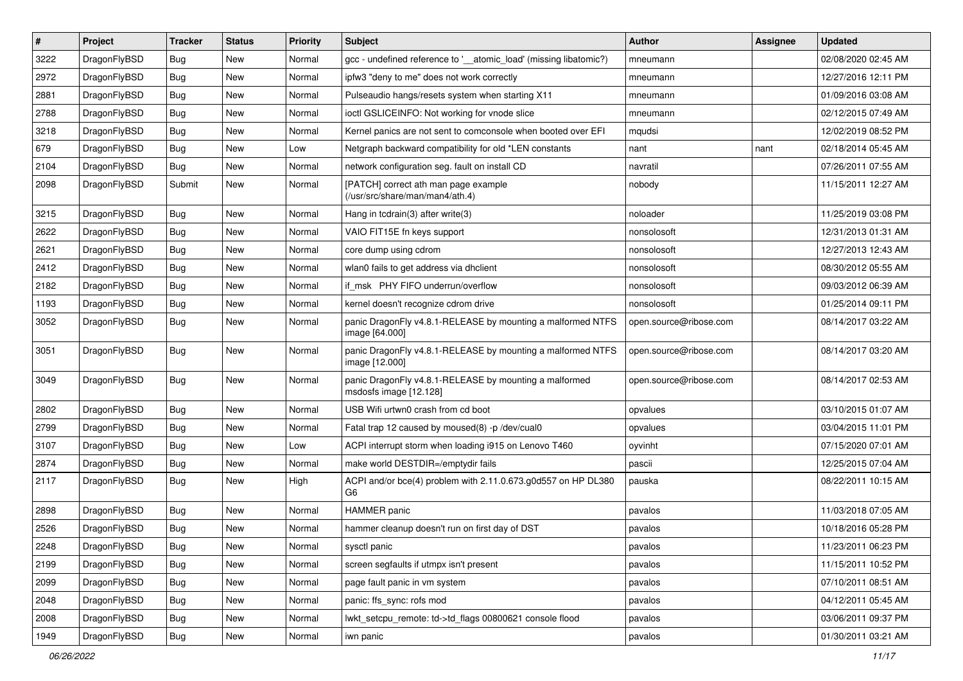| $\pmb{\#}$ | Project      | <b>Tracker</b> | <b>Status</b> | <b>Priority</b> | Subject                                                                          | <b>Author</b>          | Assignee | <b>Updated</b>      |
|------------|--------------|----------------|---------------|-----------------|----------------------------------------------------------------------------------|------------------------|----------|---------------------|
| 3222       | DragonFlyBSD | Bug            | New           | Normal          | gcc - undefined reference to '__atomic_load' (missing libatomic?)                | mneumann               |          | 02/08/2020 02:45 AM |
| 2972       | DragonFlyBSD | Bug            | <b>New</b>    | Normal          | ipfw3 "deny to me" does not work correctly                                       | mneumann               |          | 12/27/2016 12:11 PM |
| 2881       | DragonFlyBSD | Bug            | New           | Normal          | Pulseaudio hangs/resets system when starting X11                                 | mneumann               |          | 01/09/2016 03:08 AM |
| 2788       | DragonFlyBSD | Bug            | New           | Normal          | ioctl GSLICEINFO: Not working for vnode slice                                    | mneumann               |          | 02/12/2015 07:49 AM |
| 3218       | DragonFlyBSD | Bug            | <b>New</b>    | Normal          | Kernel panics are not sent to comconsole when booted over EFI                    | mqudsi                 |          | 12/02/2019 08:52 PM |
| 679        | DragonFlyBSD | <b>Bug</b>     | New           | Low             | Netgraph backward compatibility for old *LEN constants                           | nant                   | nant     | 02/18/2014 05:45 AM |
| 2104       | DragonFlyBSD | Bug            | <b>New</b>    | Normal          | network configuration seg. fault on install CD                                   | navratil               |          | 07/26/2011 07:55 AM |
| 2098       | DragonFlyBSD | Submit         | New           | Normal          | [PATCH] correct ath man page example<br>(/usr/src/share/man/man4/ath.4)          | nobody                 |          | 11/15/2011 12:27 AM |
| 3215       | DragonFlyBSD | Bug            | <b>New</b>    | Normal          | Hang in tcdrain(3) after write(3)                                                | noloader               |          | 11/25/2019 03:08 PM |
| 2622       | DragonFlyBSD | Bug            | New           | Normal          | VAIO FIT15E fn keys support                                                      | nonsolosoft            |          | 12/31/2013 01:31 AM |
| 2621       | DragonFlyBSD | Bug            | New           | Normal          | core dump using cdrom                                                            | nonsolosoft            |          | 12/27/2013 12:43 AM |
| 2412       | DragonFlyBSD | Bug            | <b>New</b>    | Normal          | wlan0 fails to get address via dhclient                                          | nonsolosoft            |          | 08/30/2012 05:55 AM |
| 2182       | DragonFlyBSD | Bug            | New           | Normal          | if msk PHY FIFO underrun/overflow                                                | nonsolosoft            |          | 09/03/2012 06:39 AM |
| 1193       | DragonFlyBSD | Bug            | New           | Normal          | kernel doesn't recognize cdrom drive                                             | nonsolosoft            |          | 01/25/2014 09:11 PM |
| 3052       | DragonFlyBSD | Bug            | New           | Normal          | panic DragonFly v4.8.1-RELEASE by mounting a malformed NTFS<br>image [64.000]    | open.source@ribose.com |          | 08/14/2017 03:22 AM |
| 3051       | DragonFlyBSD | Bug            | <b>New</b>    | Normal          | panic DragonFly v4.8.1-RELEASE by mounting a malformed NTFS<br>image [12.000]    | open.source@ribose.com |          | 08/14/2017 03:20 AM |
| 3049       | DragonFlyBSD | Bug            | <b>New</b>    | Normal          | panic DragonFly v4.8.1-RELEASE by mounting a malformed<br>msdosfs image [12.128] | open.source@ribose.com |          | 08/14/2017 02:53 AM |
| 2802       | DragonFlyBSD | Bug            | <b>New</b>    | Normal          | USB Wifi urtwn0 crash from cd boot                                               | opvalues               |          | 03/10/2015 01:07 AM |
| 2799       | DragonFlyBSD | Bug            | <b>New</b>    | Normal          | Fatal trap 12 caused by moused(8) -p /dev/cual0                                  | opvalues               |          | 03/04/2015 11:01 PM |
| 3107       | DragonFlyBSD | Bug            | <b>New</b>    | Low             | ACPI interrupt storm when loading i915 on Lenovo T460                            | oyvinht                |          | 07/15/2020 07:01 AM |
| 2874       | DragonFlyBSD | Bug            | New           | Normal          | make world DESTDIR=/emptydir fails                                               | pascii                 |          | 12/25/2015 07:04 AM |
| 2117       | DragonFlyBSD | Bug            | New           | High            | ACPI and/or bce(4) problem with 2.11.0.673.g0d557 on HP DL380<br>G <sub>6</sub>  | pauska                 |          | 08/22/2011 10:15 AM |
| 2898       | DragonFlyBSD | Bug            | <b>New</b>    | Normal          | <b>HAMMER</b> panic                                                              | pavalos                |          | 11/03/2018 07:05 AM |
| 2526       | DragonFlyBSD | Bug            | New           | Normal          | hammer cleanup doesn't run on first day of DST                                   | pavalos                |          | 10/18/2016 05:28 PM |
| 2248       | DragonFlyBSD | Bug            | New           | Normal          | sysctl panic                                                                     | pavalos                |          | 11/23/2011 06:23 PM |
| 2199       | DragonFlyBSD | Bug            | New           | Normal          | screen segfaults if utmpx isn't present                                          | pavalos                |          | 11/15/2011 10:52 PM |
| 2099       | DragonFlyBSD | <b>Bug</b>     | New           | Normal          | page fault panic in vm system                                                    | pavalos                |          | 07/10/2011 08:51 AM |
| 2048       | DragonFlyBSD | <b>Bug</b>     | New           | Normal          | panic: ffs_sync: rofs mod                                                        | pavalos                |          | 04/12/2011 05:45 AM |
| 2008       | DragonFlyBSD | Bug            | New           | Normal          | lwkt_setcpu_remote: td->td_flags 00800621 console flood                          | pavalos                |          | 03/06/2011 09:37 PM |
| 1949       | DragonFlyBSD | <b>Bug</b>     | New           | Normal          | iwn panic                                                                        | pavalos                |          | 01/30/2011 03:21 AM |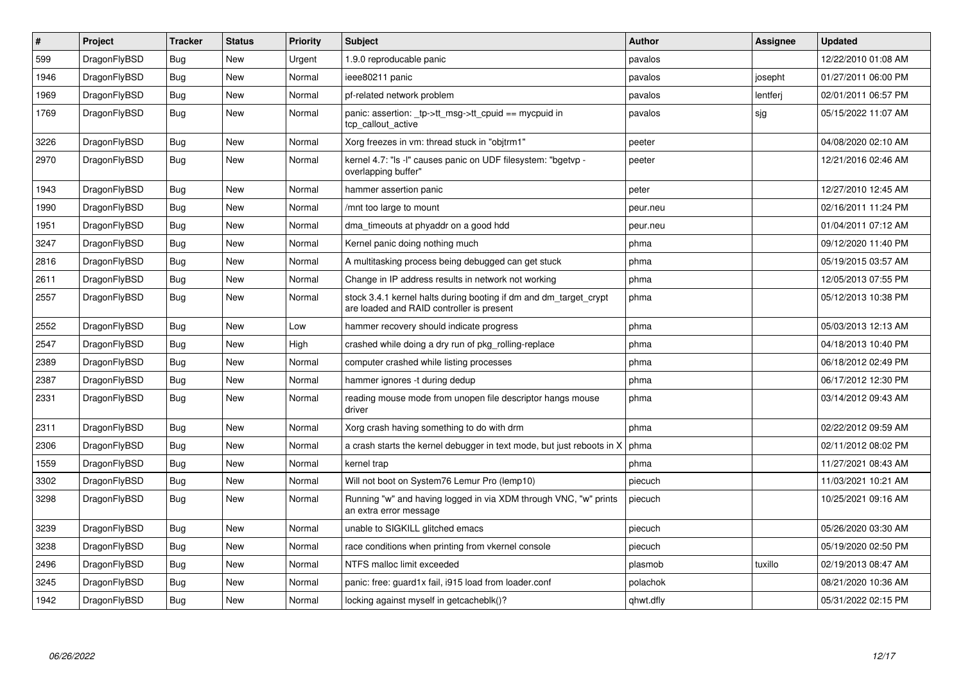| #    | Project      | <b>Tracker</b> | <b>Status</b> | <b>Priority</b> | <b>Subject</b>                                                                                                 | <b>Author</b> | <b>Assignee</b> | <b>Updated</b>      |
|------|--------------|----------------|---------------|-----------------|----------------------------------------------------------------------------------------------------------------|---------------|-----------------|---------------------|
| 599  | DragonFlyBSD | Bug            | <b>New</b>    | Urgent          | 1.9.0 reproducable panic                                                                                       | pavalos       |                 | 12/22/2010 01:08 AM |
| 1946 | DragonFlyBSD | Bug            | <b>New</b>    | Normal          | ieee80211 panic                                                                                                | pavalos       | josepht         | 01/27/2011 06:00 PM |
| 1969 | DragonFlyBSD | Bug            | New           | Normal          | pf-related network problem                                                                                     | pavalos       | lentferj        | 02/01/2011 06:57 PM |
| 1769 | DragonFlyBSD | <b>Bug</b>     | <b>New</b>    | Normal          | panic: assertion: _tp->tt_msg->tt_cpuid == mycpuid in<br>tcp_callout_active                                    | pavalos       | sjg             | 05/15/2022 11:07 AM |
| 3226 | DragonFlyBSD | Bug            | <b>New</b>    | Normal          | Xorg freezes in vm: thread stuck in "objtrm1"                                                                  | peeter        |                 | 04/08/2020 02:10 AM |
| 2970 | DragonFlyBSD | Bug            | <b>New</b>    | Normal          | kernel 4.7: "Is -I" causes panic on UDF filesystem: "bgetvp -<br>overlapping buffer"                           | peeter        |                 | 12/21/2016 02:46 AM |
| 1943 | DragonFlyBSD | <b>Bug</b>     | <b>New</b>    | Normal          | hammer assertion panic                                                                                         | peter         |                 | 12/27/2010 12:45 AM |
| 1990 | DragonFlyBSD | Bug            | <b>New</b>    | Normal          | /mnt too large to mount                                                                                        | peur.neu      |                 | 02/16/2011 11:24 PM |
| 1951 | DragonFlyBSD | <b>Bug</b>     | <b>New</b>    | Normal          | dma_timeouts at phyaddr on a good hdd                                                                          | peur.neu      |                 | 01/04/2011 07:12 AM |
| 3247 | DragonFlyBSD | Bug            | New           | Normal          | Kernel panic doing nothing much                                                                                | phma          |                 | 09/12/2020 11:40 PM |
| 2816 | DragonFlyBSD | Bug            | <b>New</b>    | Normal          | A multitasking process being debugged can get stuck                                                            | phma          |                 | 05/19/2015 03:57 AM |
| 2611 | DragonFlyBSD | Bug            | <b>New</b>    | Normal          | Change in IP address results in network not working                                                            | phma          |                 | 12/05/2013 07:55 PM |
| 2557 | DragonFlyBSD | <b>Bug</b>     | New           | Normal          | stock 3.4.1 kernel halts during booting if dm and dm target crypt<br>are loaded and RAID controller is present | phma          |                 | 05/12/2013 10:38 PM |
| 2552 | DragonFlyBSD | Bug            | <b>New</b>    | Low             | hammer recovery should indicate progress                                                                       | phma          |                 | 05/03/2013 12:13 AM |
| 2547 | DragonFlyBSD | Bug            | <b>New</b>    | High            | crashed while doing a dry run of pkg rolling-replace                                                           | phma          |                 | 04/18/2013 10:40 PM |
| 2389 | DragonFlyBSD | <b>Bug</b>     | New           | Normal          | computer crashed while listing processes                                                                       | phma          |                 | 06/18/2012 02:49 PM |
| 2387 | DragonFlyBSD | <b>Bug</b>     | <b>New</b>    | Normal          | hammer ignores -t during dedup                                                                                 | phma          |                 | 06/17/2012 12:30 PM |
| 2331 | DragonFlyBSD | Bug            | <b>New</b>    | Normal          | reading mouse mode from unopen file descriptor hangs mouse<br>driver                                           | phma          |                 | 03/14/2012 09:43 AM |
| 2311 | DragonFlyBSD | <b>Bug</b>     | <b>New</b>    | Normal          | Xorg crash having something to do with drm                                                                     | phma          |                 | 02/22/2012 09:59 AM |
| 2306 | DragonFlyBSD | <b>Bug</b>     | <b>New</b>    | Normal          | a crash starts the kernel debugger in text mode, but just reboots in X                                         | phma          |                 | 02/11/2012 08:02 PM |
| 1559 | DragonFlyBSD | Bug            | <b>New</b>    | Normal          | kernel trap                                                                                                    | phma          |                 | 11/27/2021 08:43 AM |
| 3302 | DragonFlyBSD | <b>Bug</b>     | <b>New</b>    | Normal          | Will not boot on System76 Lemur Pro (lemp10)                                                                   | piecuch       |                 | 11/03/2021 10:21 AM |
| 3298 | DragonFlyBSD | Bug            | <b>New</b>    | Normal          | Running "w" and having logged in via XDM through VNC, "w" prints<br>an extra error message                     | piecuch       |                 | 10/25/2021 09:16 AM |
| 3239 | DragonFlyBSD | Bug            | New           | Normal          | unable to SIGKILL glitched emacs                                                                               | piecuch       |                 | 05/26/2020 03:30 AM |
| 3238 | DragonFlyBSD | <b>Bug</b>     | <b>New</b>    | Normal          | race conditions when printing from vkernel console                                                             | piecuch       |                 | 05/19/2020 02:50 PM |
| 2496 | DragonFlyBSD | Bug            | New           | Normal          | NTFS malloc limit exceeded                                                                                     | plasmob       | tuxillo         | 02/19/2013 08:47 AM |
| 3245 | DragonFlyBSD | Bug            | <b>New</b>    | Normal          | panic: free: guard1x fail, i915 load from loader.conf                                                          | polachok      |                 | 08/21/2020 10:36 AM |
| 1942 | DragonFlyBSD | Bug            | <b>New</b>    | Normal          | locking against myself in getcacheblk()?                                                                       | qhwt.dfly     |                 | 05/31/2022 02:15 PM |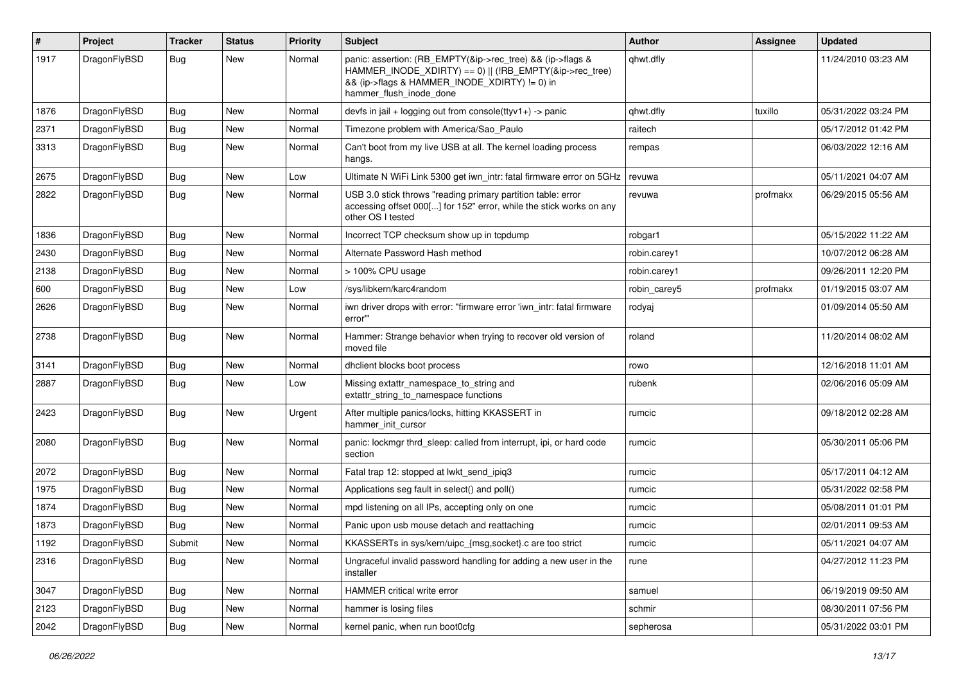| #    | Project      | <b>Tracker</b> | <b>Status</b> | <b>Priority</b> | Subject                                                                                                                                                                                           | <b>Author</b> | Assignee | <b>Updated</b>      |
|------|--------------|----------------|---------------|-----------------|---------------------------------------------------------------------------------------------------------------------------------------------------------------------------------------------------|---------------|----------|---------------------|
| 1917 | DragonFlyBSD | Bug            | New           | Normal          | panic: assertion: (RB_EMPTY(&ip->rec_tree) && (ip->flags &<br>HAMMER_INODE_XDIRTY) == 0)    (!RB_EMPTY(&ip->rec_tree)<br>&& (ip->flags & HAMMER_INODE_XDIRTY) != 0) in<br>hammer_flush_inode_done | qhwt.dfly     |          | 11/24/2010 03:23 AM |
| 1876 | DragonFlyBSD | Bug            | <b>New</b>    | Normal          | devfs in jail + logging out from console(ttyv1+) -> panic                                                                                                                                         | qhwt.dfly     | tuxillo  | 05/31/2022 03:24 PM |
| 2371 | DragonFlyBSD | <b>Bug</b>     | <b>New</b>    | Normal          | Timezone problem with America/Sao Paulo                                                                                                                                                           | raitech       |          | 05/17/2012 01:42 PM |
| 3313 | DragonFlyBSD | <b>Bug</b>     | New           | Normal          | Can't boot from my live USB at all. The kernel loading process<br>hangs.                                                                                                                          | rempas        |          | 06/03/2022 12:16 AM |
| 2675 | DragonFlyBSD | Bug            | <b>New</b>    | Low             | Ultimate N WiFi Link 5300 get iwn intr: fatal firmware error on 5GHz                                                                                                                              | revuwa        |          | 05/11/2021 04:07 AM |
| 2822 | DragonFlyBSD | <b>Bug</b>     | <b>New</b>    | Normal          | USB 3.0 stick throws "reading primary partition table: error<br>accessing offset 000[] for 152" error, while the stick works on any<br>other OS I tested                                          | revuwa        | profmakx | 06/29/2015 05:56 AM |
| 1836 | DragonFlyBSD | Bug            | <b>New</b>    | Normal          | Incorrect TCP checksum show up in tcpdump                                                                                                                                                         | robgar1       |          | 05/15/2022 11:22 AM |
| 2430 | DragonFlyBSD | <b>Bug</b>     | New           | Normal          | Alternate Password Hash method                                                                                                                                                                    | robin.carey1  |          | 10/07/2012 06:28 AM |
| 2138 | DragonFlyBSD | <b>Bug</b>     | New           | Normal          | > 100% CPU usage                                                                                                                                                                                  | robin.carey1  |          | 09/26/2011 12:20 PM |
| 600  | DragonFlyBSD | <b>Bug</b>     | <b>New</b>    | Low             | /sys/libkern/karc4random                                                                                                                                                                          | robin carey5  | profmakx | 01/19/2015 03:07 AM |
| 2626 | DragonFlyBSD | <b>Bug</b>     | <b>New</b>    | Normal          | iwn driver drops with error: "firmware error 'iwn intr: fatal firmware<br>error""                                                                                                                 | rodyaj        |          | 01/09/2014 05:50 AM |
| 2738 | DragonFlyBSD | Bug            | <b>New</b>    | Normal          | Hammer: Strange behavior when trying to recover old version of<br>moved file                                                                                                                      | roland        |          | 11/20/2014 08:02 AM |
| 3141 | DragonFlyBSD | Bug            | <b>New</b>    | Normal          | dhclient blocks boot process                                                                                                                                                                      | rowo          |          | 12/16/2018 11:01 AM |
| 2887 | DragonFlyBSD | <b>Bug</b>     | <b>New</b>    | Low             | Missing extattr_namespace_to_string and<br>extattr_string_to_namespace functions                                                                                                                  | rubenk        |          | 02/06/2016 05:09 AM |
| 2423 | DragonFlyBSD | Bug            | <b>New</b>    | Urgent          | After multiple panics/locks, hitting KKASSERT in<br>hammer init cursor                                                                                                                            | rumcic        |          | 09/18/2012 02:28 AM |
| 2080 | DragonFlyBSD | Bug            | New           | Normal          | panic: lockmgr thrd sleep: called from interrupt, ipi, or hard code<br>section                                                                                                                    | rumcic        |          | 05/30/2011 05:06 PM |
| 2072 | DragonFlyBSD | Bug            | <b>New</b>    | Normal          | Fatal trap 12: stopped at lwkt send ipig3                                                                                                                                                         | rumcic        |          | 05/17/2011 04:12 AM |
| 1975 | DragonFlyBSD | <b>Bug</b>     | <b>New</b>    | Normal          | Applications seg fault in select() and poll()                                                                                                                                                     | rumcic        |          | 05/31/2022 02:58 PM |
| 1874 | DragonFlyBSD | Bug            | New           | Normal          | mpd listening on all IPs, accepting only on one                                                                                                                                                   | rumcic        |          | 05/08/2011 01:01 PM |
| 1873 | DragonFlyBSD | <b>Bug</b>     | New           | Normal          | Panic upon usb mouse detach and reattaching                                                                                                                                                       | rumcic        |          | 02/01/2011 09:53 AM |
| 1192 | DragonFlyBSD | Submit         | New           | Normal          | KKASSERTs in sys/kern/uipc_{msg,socket}.c are too strict                                                                                                                                          | rumcic        |          | 05/11/2021 04:07 AM |
| 2316 | DragonFlyBSD | <b>Bug</b>     | New           | Normal          | Ungraceful invalid password handling for adding a new user in the<br>installer                                                                                                                    | rune          |          | 04/27/2012 11:23 PM |
| 3047 | DragonFlyBSD | Bug            | New           | Normal          | HAMMER critical write error                                                                                                                                                                       | samuel        |          | 06/19/2019 09:50 AM |
| 2123 | DragonFlyBSD | <b>Bug</b>     | New           | Normal          | hammer is losing files                                                                                                                                                                            | schmir        |          | 08/30/2011 07:56 PM |
| 2042 | DragonFlyBSD | <b>Bug</b>     | New           | Normal          | kernel panic, when run boot0cfg                                                                                                                                                                   | sepherosa     |          | 05/31/2022 03:01 PM |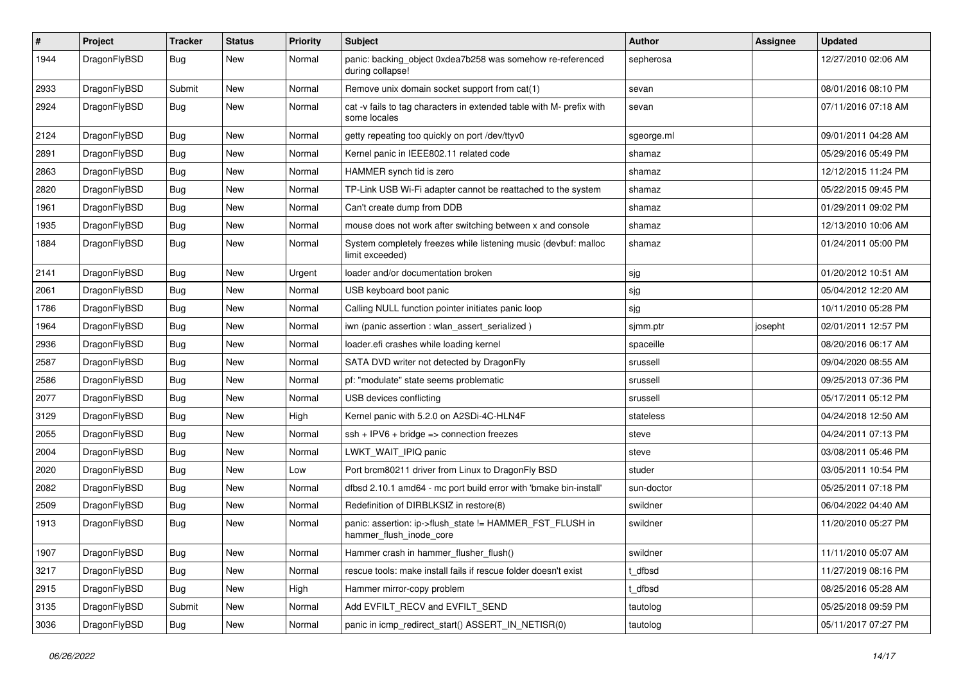| $\sharp$ | Project      | <b>Tracker</b> | <b>Status</b> | <b>Priority</b> | Subject                                                                              | <b>Author</b> | Assignee | <b>Updated</b>      |
|----------|--------------|----------------|---------------|-----------------|--------------------------------------------------------------------------------------|---------------|----------|---------------------|
| 1944     | DragonFlyBSD | Bug            | New           | Normal          | panic: backing_object 0xdea7b258 was somehow re-referenced<br>during collapse!       | sepherosa     |          | 12/27/2010 02:06 AM |
| 2933     | DragonFlyBSD | Submit         | <b>New</b>    | Normal          | Remove unix domain socket support from cat(1)                                        | sevan         |          | 08/01/2016 08:10 PM |
| 2924     | DragonFlyBSD | <b>Bug</b>     | New           | Normal          | cat -v fails to tag characters in extended table with M- prefix with<br>some locales | sevan         |          | 07/11/2016 07:18 AM |
| 2124     | DragonFlyBSD | Bug            | <b>New</b>    | Normal          | getty repeating too quickly on port /dev/ttyv0                                       | sgeorge.ml    |          | 09/01/2011 04:28 AM |
| 2891     | DragonFlyBSD | <b>Bug</b>     | <b>New</b>    | Normal          | Kernel panic in IEEE802.11 related code                                              | shamaz        |          | 05/29/2016 05:49 PM |
| 2863     | DragonFlyBSD | <b>Bug</b>     | <b>New</b>    | Normal          | HAMMER synch tid is zero                                                             | shamaz        |          | 12/12/2015 11:24 PM |
| 2820     | DragonFlyBSD | <b>Bug</b>     | <b>New</b>    | Normal          | TP-Link USB Wi-Fi adapter cannot be reattached to the system                         | shamaz        |          | 05/22/2015 09:45 PM |
| 1961     | DragonFlyBSD | Bug            | <b>New</b>    | Normal          | Can't create dump from DDB                                                           | shamaz        |          | 01/29/2011 09:02 PM |
| 1935     | DragonFlyBSD | <b>Bug</b>     | <b>New</b>    | Normal          | mouse does not work after switching between x and console                            | shamaz        |          | 12/13/2010 10:06 AM |
| 1884     | DragonFlyBSD | Bug            | <b>New</b>    | Normal          | System completely freezes while listening music (devbuf: malloc<br>limit exceeded)   | shamaz        |          | 01/24/2011 05:00 PM |
| 2141     | DragonFlyBSD | Bug            | <b>New</b>    | Urgent          | loader and/or documentation broken                                                   | sjg           |          | 01/20/2012 10:51 AM |
| 2061     | DragonFlyBSD | <b>Bug</b>     | <b>New</b>    | Normal          | USB keyboard boot panic                                                              | sjg           |          | 05/04/2012 12:20 AM |
| 1786     | DragonFlyBSD | Bug            | New           | Normal          | Calling NULL function pointer initiates panic loop                                   | sjg           |          | 10/11/2010 05:28 PM |
| 1964     | DragonFlyBSD | <b>Bug</b>     | <b>New</b>    | Normal          | iwn (panic assertion : wlan_assert_serialized)                                       | sjmm.ptr      | josepht  | 02/01/2011 12:57 PM |
| 2936     | DragonFlyBSD | Bug            | <b>New</b>    | Normal          | loader.efi crashes while loading kernel                                              | spaceille     |          | 08/20/2016 06:17 AM |
| 2587     | DragonFlyBSD | <b>Bug</b>     | New           | Normal          | SATA DVD writer not detected by DragonFly                                            | srussell      |          | 09/04/2020 08:55 AM |
| 2586     | DragonFlyBSD | Bug            | <b>New</b>    | Normal          | pf: "modulate" state seems problematic                                               | srussell      |          | 09/25/2013 07:36 PM |
| 2077     | DragonFlyBSD | <b>Bug</b>     | <b>New</b>    | Normal          | USB devices conflicting                                                              | srussell      |          | 05/17/2011 05:12 PM |
| 3129     | DragonFlyBSD | <b>Bug</b>     | <b>New</b>    | High            | Kernel panic with 5.2.0 on A2SDi-4C-HLN4F                                            | stateless     |          | 04/24/2018 12:50 AM |
| 2055     | DragonFlyBSD | Bug            | <b>New</b>    | Normal          | $ssh + IPV6 + bridge \Rightarrow connection freezes$                                 | steve         |          | 04/24/2011 07:13 PM |
| 2004     | DragonFlyBSD | <b>Bug</b>     | <b>New</b>    | Normal          | LWKT WAIT IPIQ panic                                                                 | steve         |          | 03/08/2011 05:46 PM |
| 2020     | DragonFlyBSD | Bug            | <b>New</b>    | Low             | Port brcm80211 driver from Linux to DragonFly BSD                                    | studer        |          | 03/05/2011 10:54 PM |
| 2082     | DragonFlyBSD | <b>Bug</b>     | <b>New</b>    | Normal          | dfbsd 2.10.1 amd64 - mc port build error with 'bmake bin-install'                    | sun-doctor    |          | 05/25/2011 07:18 PM |
| 2509     | DragonFlyBSD | <b>Bug</b>     | <b>New</b>    | Normal          | Redefinition of DIRBLKSIZ in restore(8)                                              | swildner      |          | 06/04/2022 04:40 AM |
| 1913     | DragonFlyBSD | Bug            | New           | Normal          | panic: assertion: ip->flush state != HAMMER FST FLUSH in<br>hammer_flush_inode_core  | swildner      |          | 11/20/2010 05:27 PM |
| 1907     | DragonFlyBSD | <b>Bug</b>     | New           | Normal          | Hammer crash in hammer_flusher_flush()                                               | swildner      |          | 11/11/2010 05:07 AM |
| 3217     | DragonFlyBSD | <b>Bug</b>     | New           | Normal          | rescue tools: make install fails if rescue folder doesn't exist                      | t_dfbsd       |          | 11/27/2019 08:16 PM |
| 2915     | DragonFlyBSD | <b>Bug</b>     | New           | High            | Hammer mirror-copy problem                                                           | t dfbsd       |          | 08/25/2016 05:28 AM |
| 3135     | DragonFlyBSD | Submit         | New           | Normal          | Add EVFILT RECV and EVFILT SEND                                                      | tautolog      |          | 05/25/2018 09:59 PM |
| 3036     | DragonFlyBSD | <b>Bug</b>     | New           | Normal          | panic in icmp_redirect_start() ASSERT_IN_NETISR(0)                                   | tautolog      |          | 05/11/2017 07:27 PM |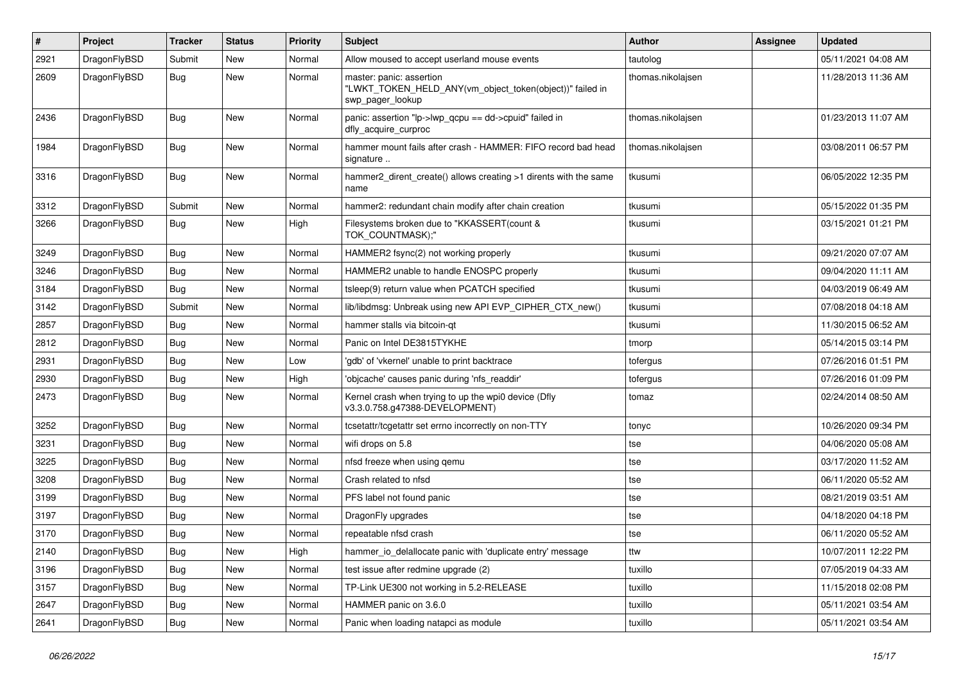| $\sharp$ | Project      | <b>Tracker</b> | <b>Status</b> | <b>Priority</b> | Subject                                                                                                  | Author            | <b>Assignee</b> | <b>Updated</b>      |
|----------|--------------|----------------|---------------|-----------------|----------------------------------------------------------------------------------------------------------|-------------------|-----------------|---------------------|
| 2921     | DragonFlyBSD | Submit         | <b>New</b>    | Normal          | Allow moused to accept userland mouse events                                                             | tautolog          |                 | 05/11/2021 04:08 AM |
| 2609     | DragonFlyBSD | Bug            | New           | Normal          | master: panic: assertion<br>"LWKT_TOKEN_HELD_ANY(vm_object_token(object))" failed in<br>swp_pager_lookup | thomas.nikolajsen |                 | 11/28/2013 11:36 AM |
| 2436     | DragonFlyBSD | <b>Bug</b>     | New           | Normal          | panic: assertion "lp->lwp_qcpu == dd->cpuid" failed in<br>dfly_acquire_curproc                           | thomas.nikolajsen |                 | 01/23/2013 11:07 AM |
| 1984     | DragonFlyBSD | Bug            | <b>New</b>    | Normal          | hammer mount fails after crash - HAMMER: FIFO record bad head<br>signature                               | thomas.nikolajsen |                 | 03/08/2011 06:57 PM |
| 3316     | DragonFlyBSD | Bug            | <b>New</b>    | Normal          | hammer2_dirent_create() allows creating >1 dirents with the same<br>name                                 | tkusumi           |                 | 06/05/2022 12:35 PM |
| 3312     | DragonFlyBSD | Submit         | New           | Normal          | hammer2: redundant chain modify after chain creation                                                     | tkusumi           |                 | 05/15/2022 01:35 PM |
| 3266     | DragonFlyBSD | Bug            | New           | High            | Filesystems broken due to "KKASSERT(count &<br>TOK_COUNTMASK);"                                          | tkusumi           |                 | 03/15/2021 01:21 PM |
| 3249     | DragonFlyBSD | Bug            | New           | Normal          | HAMMER2 fsync(2) not working properly                                                                    | tkusumi           |                 | 09/21/2020 07:07 AM |
| 3246     | DragonFlyBSD | Bug            | New           | Normal          | HAMMER2 unable to handle ENOSPC properly                                                                 | tkusumi           |                 | 09/04/2020 11:11 AM |
| 3184     | DragonFlyBSD | Bug            | New           | Normal          | tsleep(9) return value when PCATCH specified                                                             | tkusumi           |                 | 04/03/2019 06:49 AM |
| 3142     | DragonFlyBSD | Submit         | <b>New</b>    | Normal          | lib/libdmsg: Unbreak using new API EVP_CIPHER_CTX_new()                                                  | tkusumi           |                 | 07/08/2018 04:18 AM |
| 2857     | DragonFlyBSD | Bug            | <b>New</b>    | Normal          | hammer stalls via bitcoin-qt                                                                             | tkusumi           |                 | 11/30/2015 06:52 AM |
| 2812     | DragonFlyBSD | Bug            | New           | Normal          | Panic on Intel DE3815TYKHE                                                                               | tmorp             |                 | 05/14/2015 03:14 PM |
| 2931     | DragonFlyBSD | Bug            | New           | Low             | 'gdb' of 'vkernel' unable to print backtrace                                                             | tofergus          |                 | 07/26/2016 01:51 PM |
| 2930     | DragonFlyBSD | Bug            | <b>New</b>    | High            | 'objcache' causes panic during 'nfs_readdir'                                                             | tofergus          |                 | 07/26/2016 01:09 PM |
| 2473     | DragonFlyBSD | <b>Bug</b>     | New           | Normal          | Kernel crash when trying to up the wpi0 device (Dfly<br>v3.3.0.758.g47388-DEVELOPMENT)                   | tomaz             |                 | 02/24/2014 08:50 AM |
| 3252     | DragonFlyBSD | Bug            | <b>New</b>    | Normal          | tcsetattr/tcgetattr set errno incorrectly on non-TTY                                                     | tonyc             |                 | 10/26/2020 09:34 PM |
| 3231     | DragonFlyBSD | Bug            | <b>New</b>    | Normal          | wifi drops on 5.8                                                                                        | tse               |                 | 04/06/2020 05:08 AM |
| 3225     | DragonFlyBSD | Bug            | <b>New</b>    | Normal          | nfsd freeze when using gemu                                                                              | tse               |                 | 03/17/2020 11:52 AM |
| 3208     | DragonFlyBSD | Bug            | <b>New</b>    | Normal          | Crash related to nfsd                                                                                    | tse               |                 | 06/11/2020 05:52 AM |
| 3199     | DragonFlyBSD | <b>Bug</b>     | New           | Normal          | PFS label not found panic                                                                                | tse               |                 | 08/21/2019 03:51 AM |
| 3197     | DragonFlyBSD | Bug            | New           | Normal          | DragonFly upgrades                                                                                       | tse               |                 | 04/18/2020 04:18 PM |
| 3170     | DragonFlyBSD | Bug            | <b>New</b>    | Normal          | repeatable nfsd crash                                                                                    | tse               |                 | 06/11/2020 05:52 AM |
| 2140     | DragonFlyBSD | <b>Bug</b>     | <b>New</b>    | High            | hammer_io_delallocate panic with 'duplicate entry' message                                               | ttw               |                 | 10/07/2011 12:22 PM |
| 3196     | DragonFlyBSD | <b>Bug</b>     | New           | Normal          | test issue after redmine upgrade (2)                                                                     | tuxillo           |                 | 07/05/2019 04:33 AM |
| 3157     | DragonFlyBSD | <b>Bug</b>     | New           | Normal          | TP-Link UE300 not working in 5.2-RELEASE                                                                 | tuxillo           |                 | 11/15/2018 02:08 PM |
| 2647     | DragonFlyBSD | <b>Bug</b>     | <b>New</b>    | Normal          | HAMMER panic on 3.6.0                                                                                    | tuxillo           |                 | 05/11/2021 03:54 AM |
| 2641     | DragonFlyBSD | <b>Bug</b>     | New           | Normal          | Panic when loading natapci as module                                                                     | tuxillo           |                 | 05/11/2021 03:54 AM |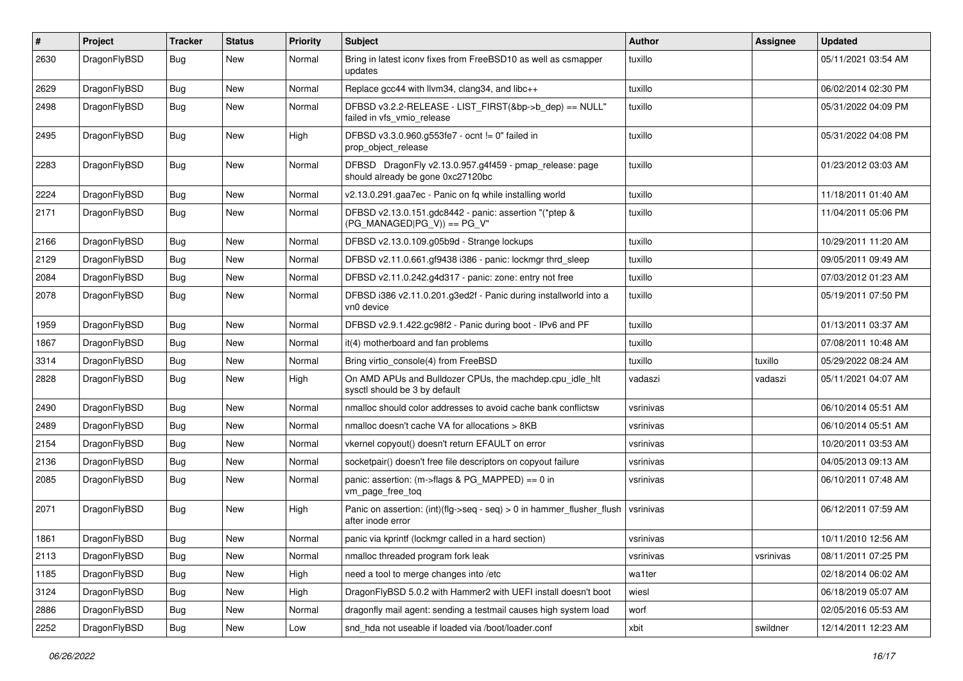| #    | Project      | <b>Tracker</b> | <b>Status</b> | <b>Priority</b> | Subject                                                                                      | <b>Author</b> | Assignee  | <b>Updated</b>      |
|------|--------------|----------------|---------------|-----------------|----------------------------------------------------------------------------------------------|---------------|-----------|---------------------|
| 2630 | DragonFlyBSD | Bug            | New           | Normal          | Bring in latest iconv fixes from FreeBSD10 as well as csmapper<br>updates                    | tuxillo       |           | 05/11/2021 03:54 AM |
| 2629 | DragonFlyBSD | Bug            | <b>New</b>    | Normal          | Replace gcc44 with llvm34, clang34, and libc++                                               | tuxillo       |           | 06/02/2014 02:30 PM |
| 2498 | DragonFlyBSD | Bug            | New           | Normal          | DFBSD v3.2.2-RELEASE - LIST_FIRST(&bp->b_dep) == NULL"<br>failed in vfs vmio release         | tuxillo       |           | 05/31/2022 04:09 PM |
| 2495 | DragonFlyBSD | Bug            | New           | High            | DFBSD v3.3.0.960.g553fe7 - ocnt != 0" failed in<br>prop_object_release                       | tuxillo       |           | 05/31/2022 04:08 PM |
| 2283 | DragonFlyBSD | Bug            | New           | Normal          | DFBSD DragonFly v2.13.0.957.g4f459 - pmap_release: page<br>should already be gone 0xc27120bc | tuxillo       |           | 01/23/2012 03:03 AM |
| 2224 | DragonFlyBSD | Bug            | <b>New</b>    | Normal          | v2.13.0.291.gaa7ec - Panic on fq while installing world                                      | tuxillo       |           | 11/18/2011 01:40 AM |
| 2171 | DragonFlyBSD | Bug            | New           | Normal          | DFBSD v2.13.0.151.gdc8442 - panic: assertion "(*ptep &<br>$(PG$ MANAGED PG_V)) == PG_V"      | tuxillo       |           | 11/04/2011 05:06 PM |
| 2166 | DragonFlyBSD | <b>Bug</b>     | <b>New</b>    | Normal          | DFBSD v2.13.0.109.g05b9d - Strange lockups                                                   | tuxillo       |           | 10/29/2011 11:20 AM |
| 2129 | DragonFlyBSD | <b>Bug</b>     | New           | Normal          | DFBSD v2.11.0.661.gf9438 i386 - panic: lockmgr thrd sleep                                    | tuxillo       |           | 09/05/2011 09:49 AM |
| 2084 | DragonFlyBSD | Bug            | <b>New</b>    | Normal          | DFBSD v2.11.0.242.g4d317 - panic: zone: entry not free                                       | tuxillo       |           | 07/03/2012 01:23 AM |
| 2078 | DragonFlyBSD | Bug            | New           | Normal          | DFBSD i386 v2.11.0.201.g3ed2f - Panic during installworld into a<br>vn0 device               | tuxillo       |           | 05/19/2011 07:50 PM |
| 1959 | DragonFlyBSD | Bug            | <b>New</b>    | Normal          | DFBSD v2.9.1.422.gc98f2 - Panic during boot - IPv6 and PF                                    | tuxillo       |           | 01/13/2011 03:37 AM |
| 1867 | DragonFlyBSD | <b>Bug</b>     | New           | Normal          | it(4) motherboard and fan problems                                                           | tuxillo       |           | 07/08/2011 10:48 AM |
| 3314 | DragonFlyBSD | Bug            | New           | Normal          | Bring virtio console(4) from FreeBSD                                                         | tuxillo       | tuxillo   | 05/29/2022 08:24 AM |
| 2828 | DragonFlyBSD | Bug            | New           | High            | On AMD APUs and Bulldozer CPUs, the machdep.cpu_idle_hlt<br>sysctl should be 3 by default    | vadaszi       | vadaszi   | 05/11/2021 04:07 AM |
| 2490 | DragonFlyBSD | Bug            | New           | Normal          | nmalloc should color addresses to avoid cache bank conflictsw                                | vsrinivas     |           | 06/10/2014 05:51 AM |
| 2489 | DragonFlyBSD | <b>Bug</b>     | New           | Normal          | nmalloc doesn't cache VA for allocations > 8KB                                               | vsrinivas     |           | 06/10/2014 05:51 AM |
| 2154 | DragonFlyBSD | Bug            | New           | Normal          | vkernel copyout() doesn't return EFAULT on error                                             | vsrinivas     |           | 10/20/2011 03:53 AM |
| 2136 | DragonFlyBSD | <b>Bug</b>     | <b>New</b>    | Normal          | socketpair() doesn't free file descriptors on copyout failure                                | vsrinivas     |           | 04/05/2013 09:13 AM |
| 2085 | DragonFlyBSD | <b>Bug</b>     | New           | Normal          | panic: assertion: (m->flags & PG_MAPPED) == 0 in<br>vm_page_free_toq                         | vsrinivas     |           | 06/10/2011 07:48 AM |
| 2071 | DragonFlyBSD | Bug            | New           | High            | Panic on assertion: (int)(flg->seq - seq) > 0 in hammer_flusher_flush<br>after inode error   | vsrinivas     |           | 06/12/2011 07:59 AM |
| 1861 | DragonFlyBSD | <b>Bug</b>     | New           | Normal          | panic via kprintf (lockmgr called in a hard section)                                         | vsrinivas     |           | 10/11/2010 12:56 AM |
| 2113 | DragonFlyBSD | Bug            | New           | Normal          | nmalloc threaded program fork leak                                                           | vsrinivas     | vsrinivas | 08/11/2011 07:25 PM |
| 1185 | DragonFlyBSD | Bug            | New           | High            | need a tool to merge changes into /etc                                                       | wa1ter        |           | 02/18/2014 06:02 AM |
| 3124 | DragonFlyBSD | <b>Bug</b>     | New           | High            | DragonFlyBSD 5.0.2 with Hammer2 with UEFI install doesn't boot                               | wiesl         |           | 06/18/2019 05:07 AM |
| 2886 | DragonFlyBSD | <b>Bug</b>     | New           | Normal          | dragonfly mail agent: sending a testmail causes high system load                             | worf          |           | 02/05/2016 05:53 AM |
| 2252 | DragonFlyBSD | <b>Bug</b>     | New           | Low             | snd hda not useable if loaded via /boot/loader.conf                                          | xbit          | swildner  | 12/14/2011 12:23 AM |